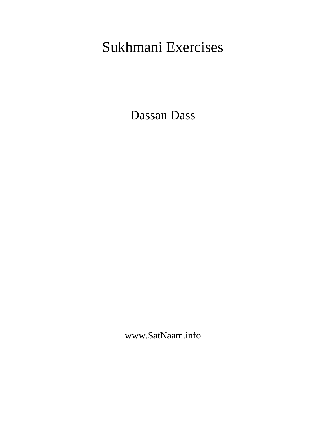# Sukhmani Exercises

Dassan Dass

www.SatNaam.info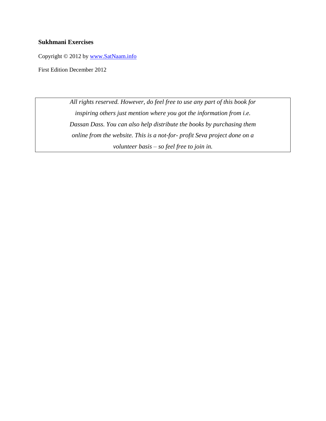#### **Sukhmani Exercises**

Copyright © 2012 by [www.SatNaam.info](http://www.satnaam.info/)

First Edition December 2012

*All rights reserved. However, do feel free to use any part of this book for inspiring others just mention where you got the information from i.e. Dassan Dass. You can also help distribute the books by purchasing them online from the website. This is a not-for- profit Seva project done on a volunteer basis – so feel free to join in.*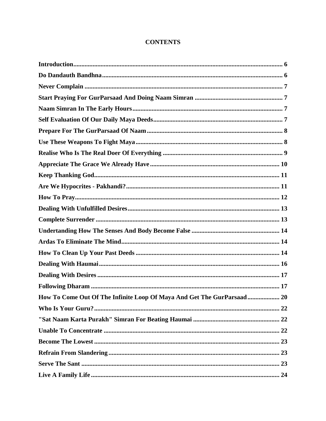## **CONTENTS**

| How To Come Out Of The Infinite Loop Of Maya And Get The GurParsaad 20 |
|------------------------------------------------------------------------|
|                                                                        |
|                                                                        |
|                                                                        |
|                                                                        |
|                                                                        |
|                                                                        |
|                                                                        |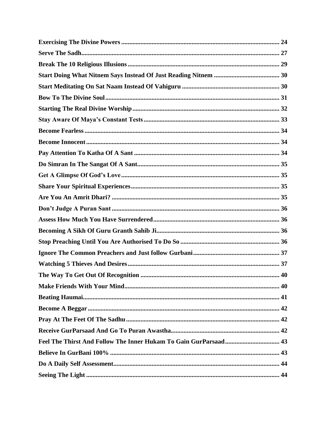| The Way To Get Out Of Recognition<br>40 |
|-----------------------------------------|
|                                         |
|                                         |
|                                         |
|                                         |
|                                         |
|                                         |
|                                         |
|                                         |
|                                         |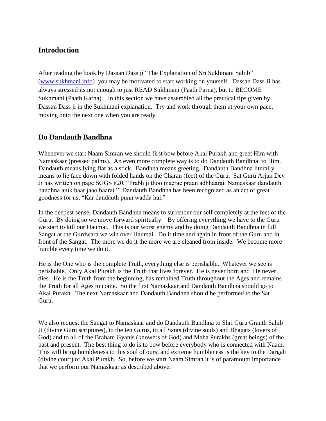# <span id="page-5-0"></span>**Introduction**

After reading the book by Dassan Dass ji "The Explanation of Sri Sukhmani Sahib" [\(www.sukhmani.info\)](http://www.sukhmani.info/) you may be motivated to start working on yourself. Dassan Dass Ji has always stressed its not enough to just READ Sukhmani (Paath Parna), but to BECOME Sukhmani (Paath Karna). In this section we have assembled all the practical tips given by Dassan Dass ji in the Sukhmani explanation. Try and work through them at your own pace, moving onto the next one when you are ready.

# <span id="page-5-1"></span>**Do Dandauth Bandhna**

Whenever we start Naam Simran we should first bow before Akal Purakh and greet Him with Namaskaar (pressed palms). An even more complete way is to do Dandauth Bandhna to Him. Dandauth means lying flat as a stick. Bandhna means greeting. Dandauth Bandhna literally means to lie face down with folded hands on the Charan (feet) of the Guru. Sat Guru Arjun Dev Ji has written on page SGGS 820, "Prabh ji thoo maerae praan adhhaarai. Namaskaar dandauth bandhna anik baar jaao baarai." Dandauth Bandhna has been recognized as an act of great goodness for us, "Kar dandauth punn wadda hai."

In the deepest sense, Dandauth Bandhna means to surrender our self completely at the feet of the Guru. By doing so we move forward spiritually. By offering everything we have to the Guru we start to kill our Haumai. This is our worst enemy and by doing Dandauth Bandhna in full Sangat at the Gurdwara we win over Haumai. Do it time and again in front of the Guru and in front of the Sangat. The more we do it the more we are cleaned from inside. We become more humble every time we do it.

He is the One who is the complete Truth, everything else is perishable. Whatever we see is perishable. Only Akal Purakh is the Truth that lives forever. He is never born and He never dies. He is the Truth from the beginning, has remained Truth throughout the Ages and remains the Truth for all Ages to come. So the first Namaskaar and Dandauth Bandhna should go to Akal Purakh. The next Namaskaar and Dandauth Bandhna should be performed to the Sat Guru.

We also request the Sangat to Namaskaar and do Dandauth Bandhna to Shri Guru Granth Sahib Ji (divine Guru scriptures), to the ten Gurus, to all Sants (divine souls) and Bhagats (lovers of God) and to all of the Braham Gyanis (knowers of God) and Maha Purakhs (great beings) of the past and present. The best thing to do is to bow before everybody who is connected with Naam. This will bring humbleness to this soul of ours, and extreme humbleness is the key to the Dargah (divine court) of Akal Purakh. So, before we start Naam Simran it is of paramount importance that we perform our Namaskaar as described above.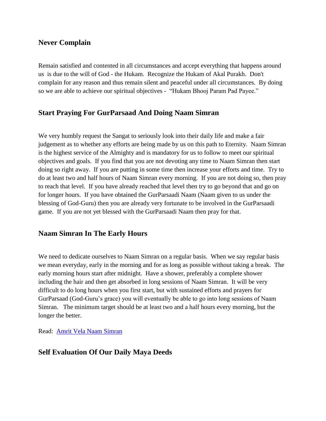## <span id="page-6-0"></span>**Never Complain**

Remain satisfied and contented in all circumstances and accept everything that happens around us is due to the will of God - the Hukam. Recognize the Hukam of Akal Purakh. Don't complain for any reason and thus remain silent and peaceful under all circumstances. By doing so we are able to achieve our spiritual objectives - "Hukam Bhooj Param Pad Payee."

## <span id="page-6-1"></span>**Start Praying For GurParsaad And Doing Naam Simran**

We very humbly request the Sangat to seriously look into their daily life and make a fair judgement as to whether any efforts are being made by us on this path to Eternity. Naam Simran is the highest service of the Almighty and is mandatory for us to follow to meet our spiritual objectives and goals. If you find that you are not devoting any time to Naam Simran then start doing so right away. If you are putting in some time then increase your efforts and time. Try to do at least two and half hours of Naam Simran every morning. If you are not doing so, then pray to reach that level. If you have already reached that level then try to go beyond that and go on for longer hours. If you have obtained the GurParsaadi Naam (Naam given to us under the blessing of God-Guru) then you are already very fortunate to be involved in the GurParsaadi game. If you are not yet blessed with the GurParsaadi Naam then pray for that.

# <span id="page-6-2"></span>**Naam Simran In The Early Hours**

We need to dedicate ourselves to Naam Simran on a regular basis. When we say regular basis we mean everyday, early in the morning and for as long as possible without taking a break. The early morning hours start after midnight. Have a shower, preferably a complete shower including the hair and then get absorbed in long sessions of Naam Simran. It will be very difficult to do long hours when you first start, but with sustained efforts and prayers for GurParsaad (God-Guru's grace) you will eventually be able to go into long sessions of Naam Simran. The minimum target should be at least two and a half hours every morning, but the longer the better.

Read: [Amrit Vela Naam Simran](http://satnaam.info/index.php?option=com_content&task=view&id=1152&Itemid=14)

# <span id="page-6-3"></span>**Self Evaluation Of Our Daily Maya Deeds**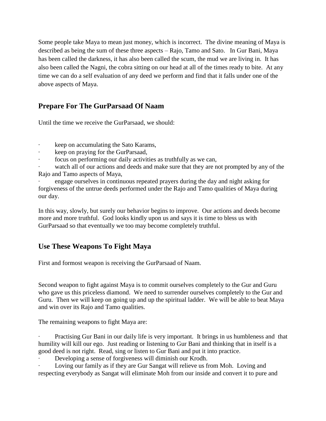Some people take Maya to mean just money, which is incorrect. The divine meaning of Maya is described as being the sum of these three aspects – Rajo, Tamo and Sato. In Gur Bani, Maya has been called the darkness, it has also been called the scum, the mud we are living in. It has also been called the Nagni, the cobra sitting on our head at all of the times ready to bite. At any time we can do a self evaluation of any deed we perform and find that it falls under one of the above aspects of Maya.

# <span id="page-7-0"></span>**Prepare For The GurParsaad Of Naam**

Until the time we receive the GurParsaad, we should:

- keep on accumulating the Sato Karams,
- keep on praying for the GurParsaad,
- focus on performing our daily activities as truthfully as we can,

watch all of our actions and deeds and make sure that they are not prompted by any of the Rajo and Tamo aspects of Maya,

engage ourselves in continuous repeated prayers during the day and night asking for forgiveness of the untrue deeds performed under the Rajo and Tamo qualities of Maya during our day.

In this way, slowly, but surely our behavior begins to improve. Our actions and deeds become more and more truthful. God looks kindly upon us and says it is time to bless us with GurParsaad so that eventually we too may become completely truthful.

# <span id="page-7-1"></span>**Use These Weapons To Fight Maya**

First and formost weapon is receiving the GurParsaad of Naam.

Second weapon to fight against Maya is to commit ourselves completely to the Gur and Guru who gave us this priceless diamond. We need to surrender ourselves completely to the Gur and Guru. Then we will keep on going up and up the spiritual ladder. We will be able to beat Maya and win over its Rajo and Tamo qualities.

The remaining weapons to fight Maya are:

Practising Gur Bani in our daily life is very important. It brings in us humbleness and that humility will kill our ego. Just reading or listening to Gur Bani and thinking that in itself is a good deed is not right. Read, sing or listen to Gur Bani and put it into practice.

Developing a sense of forgiveness will diminish our Krodh.

Loving our family as if they are Gur Sangat will relieve us from Moh. Loving and respecting everybody as Sangat will eliminate Moh from our inside and convert it to pure and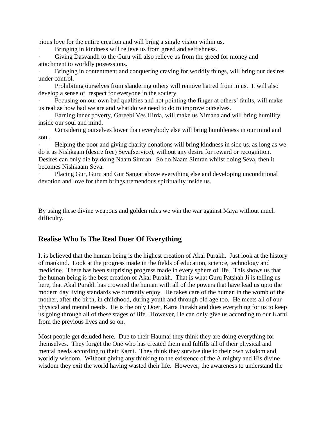pious love for the entire creation and will bring a single vision within us.

Bringing in kindness will relieve us from greed and selfishness.

Giving Dasvandh to the Guru will also relieve us from the greed for money and attachment to worldly possessions.

Bringing in contentment and conquering craving for worldly things, will bring our desires under control.

Prohibiting ourselves from slandering others will remove hatred from in us. It will also develop a sense of respect for everyone in the society.

Focusing on our own bad qualities and not pointing the finger at others' faults, will make us realize how bad we are and what do we need to do to improve ourselves.

Earning inner poverty, Gareebi Ves Hirda, will make us Nimana and will bring humility inside our soul and mind.

Considering ourselves lower than everybody else will bring humbleness in our mind and soul.

· Helping the poor and giving charity donations will bring kindness in side us, as long as we do it as Nishkaam (desire free) Seva(service), without any desire for reward or recognition. Desires can only die by doing Naam Simran. So do Naam Simran whilst doing Seva, then it becomes Nishkaam Seva.

· Placing Gur, Guru and Gur Sangat above everything else and developing unconditional devotion and love for them brings tremendous spirituality inside us.

By using these divine weapons and golden rules we win the war against Maya without much difficulty.

# <span id="page-8-0"></span>**Realise Who Is The Real Doer Of Everything**

It is believed that the human being is the highest creation of Akal Purakh. Just look at the history of mankind. Look at the progress made in the fields of education, science, technology and medicine. There has been surprising progress made in every sphere of life. This shows us that the human being is the best creation of Akal Purakh. That is what Guru Patshah Ji is telling us here, that Akal Purakh has crowned the human with all of the powers that have lead us upto the modern day living standards we currently enjoy. He takes care of the human in the womb of the mother, after the birth, in childhood, during youth and through old age too. He meets all of our physical and mental needs. He is the only Doer, Karta Purakh and does everything for us to keep us going through all of these stages of life. However, He can only give us according to our Karni from the previous lives and so on.

Most people get deluded here. Due to their Haumai they think they are doing everything for themselves. They forget the One who has created them and fulfills all of their physical and mental needs according to their Karni. They think they survive due to their own wisdom and worldly wisdom. Without giving any thinking to the existence of the Almighty and His divine wisdom they exit the world having wasted their life. However, the awareness to understand the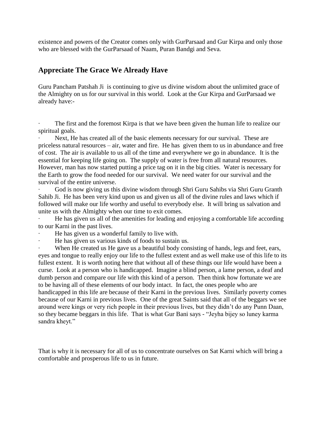existence and powers of the Creator comes only with GurParsaad and Gur Kirpa and only those who are blessed with the GurParsaad of Naam, Puran Bandgi and Seva.

## <span id="page-9-0"></span>**Appreciate The Grace We Already Have**

Guru Pancham Patshah Ji is continuing to give us divine wisdom about the unlimited grace of the Almighty on us for our survival in this world. Look at the Gur Kirpa and GurParsaad we already have:-

The first and the foremost Kirpa is that we have been given the human life to realize our spiritual goals.

Next, He has created all of the basic elements necessary for our survival. These are priceless natural resources – air, water and fire. He has given them to us in abundance and free of cost. The air is available to us all of the time and everywhere we go in abundance. It is the essential for keeping life going on. The supply of water is free from all natural resources. However, man has now started putting a price tag on it in the big cities. Water is necessary for the Earth to grow the food needed for our survival. We need water for our survival and the survival of the entire universe.

God is now giving us this divine wisdom through Shri Guru Sahibs via Shri Guru Granth Sahib Ji. He has been very kind upon us and given us all of the divine rules and laws which if followed will make our life worthy and useful to everybody else. It will bring us salvation and unite us with the Almighty when our time to exit comes.

· He has given us all of the amenities for leading and enjoying a comfortable life according to our Karni in the past lives.

He has given us a wonderful family to live with.

He has given us various kinds of foods to sustain us.

When He created us He gave us a beautiful body consisting of hands, legs and feet, ears, eyes and tongue to really enjoy our life to the fullest extent and as well make use of this life to its fullest extent. It is worth noting here that without all of these things our life would have been a curse. Look at a person who is handicapped. Imagine a blind person, a lame person, a deaf and dumb person and compare our life with this kind of a person. Then think how fortunate we are to be having all of these elements of our body intact. In fact, the ones people who are handicapped in this life are because of their Karni in the previous lives. Similarly poverty comes because of our Karni in previous lives. One of the great Saints said that all of the beggars we see around were kings or very rich people in their previous lives, but they didn't do any Punn Daan, so they became beggars in this life. That is what Gur Bani says - "Jeyha bijey so luney karma sandra kheyt."

That is why it is necessary for all of us to concentrate ourselves on Sat Karni which will bring a comfortable and prosperous life to us in future.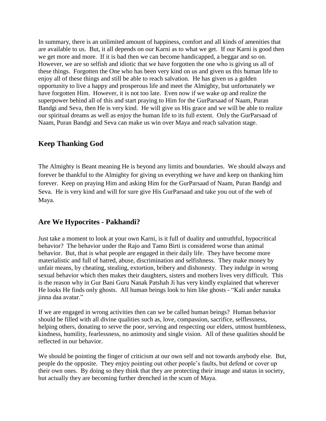In summary, there is an unlimited amount of happiness, comfort and all kinds of amenities that are available to us. But, it all depends on our Karni as to what we get. If our Karni is good then we get more and more. If it is bad then we can become handicapped, a beggar and so on. However, we are so selfish and idiotic that we have forgotten the one who is giving us all of these things. Forgotten the One who has been very kind on us and given us this human life to enjoy all of these things and still be able to reach salvation. He has given us a golden opportunity to live a happy and prosperous life and meet the Almighty, but unfortunately we have forgotten Him. However, it is not too late. Even now if we wake up and realize the superpower behind all of this and start praying to Him for the GurParsaad of Naam, Puran Bandgi and Seva, then He is very kind. He will give us His grace and we will be able to realize our spiritual dreams as well as enjoy the human life to its full extent. Only the GurParsaad of Naam, Puran Bandgi and Seva can make us win over Maya and reach salvation stage.

# <span id="page-10-0"></span>**Keep Thanking God**

The Almighty is Beant meaning He is beyond any limits and boundaries. We should always and forever be thankful to the Almighty for giving us everything we have and keep on thanking him forever. Keep on praying Him and asking Him for the GurParsaad of Naam, Puran Bandgi and Seva. He is very kind and will for sure give His GurParsaad and take you out of the web of Maya.

# <span id="page-10-1"></span>**Are We Hypocrites - Pakhandi?**

Just take a moment to look at your own Karni, is it full of duality and untruthful, hypocritical behavior? The behavior under the Rajo and Tamo Birti is considered worse than animal behavior. But, that is what people are engaged in their daily life. They have become more materialistic and full of hatred, abuse, discrimination and selfishness. They make money by unfair means, by cheating, stealing, extortion, bribery and dishonesty. They indulge in wrong sexual behavior which then makes their daughters, sisters and mothers lives very difficult. This is the reason why in Gur Bani Guru Nanak Patshah Ji has very kindly explained that wherever He looks He finds only ghosts. All human beings look to him like ghosts - "Kali ander nanaka jinna daa avatar."

If we are engaged in wrong activities then can we be called human beings? Human behavior should be filled with all divine qualities such as, love, compassion, sacrifice, selflessness, helping others, donating to serve the poor, serving and respecting our elders, utmost humbleness, kindness, humility, fearlessness, no animosity and single vision. All of these qualities should be reflected in our behavior.

We should be pointing the finger of criticism at our own self and not towards anybody else. But, people do the opposite. They enjoy pointing out other people's faults, but defend or cover up their own ones. By doing so they think that they are protecting their image and status in society, but actually they are becoming further drenched in the scum of Maya.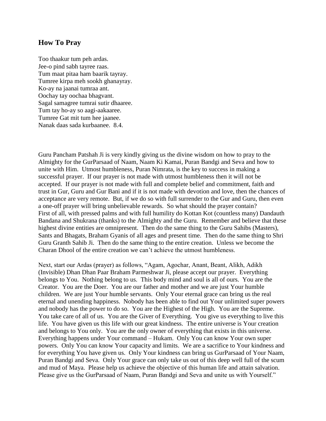#### <span id="page-11-0"></span>**How To Pray**

Too thaakur tum peh ardas. Jee-o pind sabh tayree raas. Tum maat pitaa ham baarik tayray. Tumree kirpa meh sookh ghanayray. Ko-ay na jaanai tumraa ant. Oochay tay oochaa bhagvant. Sagal samagree tumrai sutir dhaaree. Tum tay ho-ay so aagi-aakaaree. Tumree Gat mit tum hee jaanee. Nanak daas sada kurbaanee. 8.4.

Guru Pancham Patshah Ji is very kindly giving us the divine wisdom on how to pray to the Almighty for the GurParsaad of Naam, Naam Ki Kamai, Puran Bandgi and Seva and how to unite with Him. Utmost humbleness, Puran Nimrata, is the key to success in making a successful prayer. If our prayer is not made with utmost humbleness then it will not be accepted. If our prayer is not made with full and complete belief and commitment, faith and trust in Gur, Guru and Gur Bani and if it is not made with devotion and love, then the chances of acceptance are very remote. But, if we do so with full surrender to the Gur and Guru, then even a one-off prayer will bring unbelievable rewards. So what should the prayer contain? First of all, with pressed palms and with full humility do Kottan Kot (countless many) Dandauth Bandana and Shukrana (thanks) to the Almighty and the Guru. Remember and believe that these highest divine entities are omnipresent. Then do the same thing to the Guru Sahibs (Masters), Sants and Bhagats, Braham Gyanis of all ages and present time. Then do the same thing to Shri Guru Granth Sahib Ji. Then do the same thing to the entire creation. Unless we become the Charan Dhool of the entire creation we can't achieve the utmost humbleness.

Next, start our Ardas (prayer) as follows, "Agam, Agochar, Anant, Beant, Alikh, Adikh (Invisible) Dhan Dhan Paar Braham Parmeshwar Ji, please accept our prayer. Everything belongs to You. Nothing belong to us. This body mind and soul is all of ours. You are the Creator. You are the Doer. You are our father and mother and we are just Your humble children. We are just Your humble servants. Only Your eternal grace can bring us the real eternal and unending happiness. Nobody has been able to find out Your unlimited super powers and nobody has the power to do so. You are the Highest of the High. You are the Supreme. You take care of all of us. You are the Giver of Everything. You give us everything to live this life. You have given us this life with our great kindness. The entire universe is Your creation and belongs to You only. You are the only owner of everything that exists in this universe. Everything happens under Your command – Hukam. Only You can know Your own super powers. Only You can know Your capacity and limits. We are a sacrifice to Your kindness and for everything You have given us. Only Your kindness can bring us GurParsaad of Your Naam, Puran Bandgi and Seva. Only Your grace can only take us out of this deep well full of the scum and mud of Maya. Please help us achieve the objective of this human life and attain salvation. Please give us the GurParsaad of Naam, Puran Bandgi and Seva and unite us with Yourself."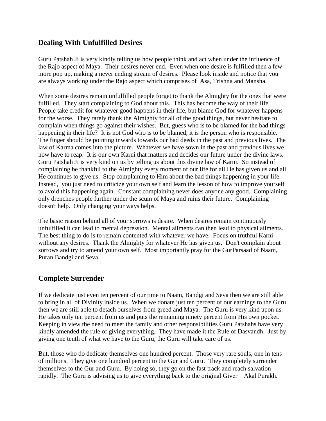# <span id="page-12-0"></span>**Dealing With Unfulfilled Desires**

Guru Patshah Ji is very kindly telling us how people think and act when under the influence of the Rajo aspect of Maya. Their desires never end. Even when one desire is fulfilled then a few more pop up, making a never ending stream of desires. Please look inside and notice that you are always working under the Rajo aspect which comprises of Asa, Trishna and Mansha.

When some desires remain unfulfilled people forget to thank the Almighty for the ones that were fulfilled. They start complaining to God about this. This has become the way of their life. People take credit for whatever good happens in their life, but blame God for whatever happens for the worse. They rarely thank the Almighty for all of the good things, but never hesitate to complain when things go against their wishes. But, guess who is to be blamed for the bad things happening in their life? It is not God who is to be blamed, it is the person who is responsible. The finger should be pointing inwards towards our bad deeds in the past and previous lives. The law of Karma comes into the picture. Whatever we have sown in the past and previous lives we now have to reap. It is our own Karni that matters and decides our future under the divine laws. Guru Patshah Ji is very kind on us by telling us about this divine law of Karni. So instead of complaining be thankful to the Almighty every moment of our life for all He has given us and all He continues to give us. Stop complaining to Him about the bad things happening in your life. Instead, you just need to criticize your own self and learn the lesson of how to improve yourself to avoid this happening again. Constant complaining never does anyone any good. Complaining only drenches people further under the scum of Maya and ruins their future. Complaining doesn't help. Only changing your ways helps.

The basic reason behind all of your sorrows is desire. When desires remain continuously unfulfilled it can lead to mental depression. Mental ailments can then lead to physical ailments. The best thing to do is to remain contented with whatever we have. Focus on truthful Karni without any desires. Thank the Almighty for whatever He has given us. Don't complain about sorrows and try to amend your own self. Most importantly pray for the GurParsaad of Naam, Puran Bandgi and Seva.

# <span id="page-12-1"></span>**Complete Surrender**

If we dedicate just even ten percent of our time to Naam, Bandgi and Seva then we are still able to bring in all of Divinity inside us. When we donate just ten percent of our earnings to the Guru then we are still able to detach ourselves from greed and Maya. The Guru is very kind upon us. He takes only ten percent from us and puts the remaining ninety percent from His own pocket. Keeping in view the need to meet the family and other responsibilities Guru Patshahs have very kindly amended the rule of giving everything. They have made it the Rule of Dasvandh. Just by giving one tenth of what we have to the Guru, the Guru will take care of us.

But, those who do dedicate themselves one hundred percent. Those very rare souls, one in tens of millions. They give one hundred percent to the Gur and Guru. They completely surrender themselves to the Gur and Guru. By doing so, they go on the fast track and reach salvation rapidly. The Guru is advising us to give everything back to the original Giver – Akal Purakh.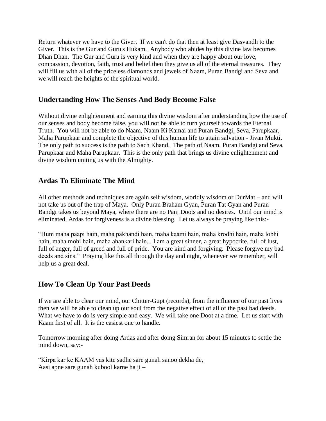Return whatever we have to the Giver. If we can't do that then at least give Dasvandh to the Giver. This is the Gur and Guru's Hukam. Anybody who abides by this divine law becomes Dhan Dhan. The Gur and Guru is very kind and when they are happy about our love, compassion, devotion, faith, trust and belief then they give us all of the eternal treasures. They will fill us with all of the priceless diamonds and jewels of Naam, Puran Bandgi and Seva and we will reach the heights of the spiritual world.

## <span id="page-13-0"></span>**Undertanding How The Senses And Body Become False**

Without divine enlightenment and earning this divine wisdom after understanding how the use of our senses and body become false, you will not be able to turn yourself towards the Eternal Truth. You will not be able to do Naam, Naam Ki Kamai and Puran Bandgi, Seva, Parupkaar, Maha Parupkaar and complete the objective of this human life to attain salvation - Jivan Mukti. The only path to success is the path to Sach Khand. The path of Naam, Puran Bandgi and Seva, Parupkaar and Maha Parupkaar. This is the only path that brings us divine enlightenment and divine wisdom uniting us with the Almighty.

# <span id="page-13-1"></span>**Ardas To Eliminate The Mind**

All other methods and techniques are again self wisdom, worldly wisdom or DurMat – and will not take us out of the trap of Maya. Only Puran Braham Gyan, Puran Tat Gyan and Puran Bandgi takes us beyond Maya, where there are no Panj Doots and no desires. Until our mind is eliminated, Ardas for forgiveness is a divine blessing. Let us always be praying like this:-

"Hum maha paapi hain, maha pakhandi hain, maha kaami hain, maha krodhi hain, maha lobhi hain, maha mohi hain, maha ahankari hain... I am a great sinner, a great hypocrite, full of lust, full of anger, full of greed and full of pride. You are kind and forgiving. Please forgive my bad deeds and sins." Praying like this all through the day and night, whenever we remember, will help us a great deal.

## <span id="page-13-2"></span>**How To Clean Up Your Past Deeds**

If we are able to clear our mind, our Chitter-Gupt (records), from the influence of our past lives then we will be able to clean up our soul from the negative effect of all of the past bad deeds. What we have to do is very simple and easy. We will take one Doot at a time. Let us start with Kaam first of all. It is the easiest one to handle.

Tomorrow morning after doing Ardas and after doing Simran for about 15 minutes to settle the mind down, say:-

"Kirpa kar ke KAAM vas kite sadhe sare gunah sanoo dekha de, Aasi apne sare gunah kubool karne ha ji –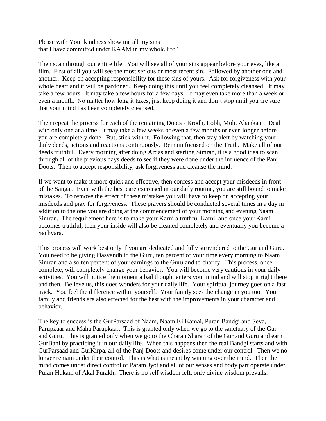Please with Your kindness show me all my sins that I have committed under KAAM in my whole life."

Then scan through our entire life. You will see all of your sins appear before your eyes, like a film. First of all you will see the most serious or most recent sin. Followed by another one and another. Keep on accepting responsibility for these sins of yours. Ask for forgiveness with your whole heart and it will be pardoned. Keep doing this until you feel completely cleansed. It may take a few hours. It may take a few hours for a few days. It may even take more than a week or even a month. No matter how long it takes, just keep doing it and don't stop until you are sure that your mind has been completely cleansed.

Then repeat the process for each of the remaining Doots - Krodh, Lobh, Moh, Ahankaar. Deal with only one at a time. It may take a few weeks or even a few months or even longer before you are completely done. But, stick with it. Following that, then stay alert by watching your daily deeds, actions and reactions continuously. Remain focused on the Truth. Make all of our deeds truthful. Every morning after doing Ardas and starting Simran, it is a good idea to scan through all of the previous days deeds to see if they were done under the influence of the Panj Doots. Then to accept responsibility, ask forgiveness and cleanse the mind.

If we want to make it more quick and effective, then confess and accept your misdeeds in front of the Sangat. Even with the best care exercised in our daily routine, you are still bound to make mistakes. To remove the effect of these mistakes you will have to keep on accepting your misdeeds and pray for forgiveness. These prayers should be conducted several times in a day in addition to the one you are doing at the commencement of your morning and evening Naam Simran. The requirement here is to make your Karni a truthful Karni, and once your Karni becomes truthful, then your inside will also be cleaned completely and eventually you become a Sachyara.

This process will work best only if you are dedicated and fully surrendered to the Gur and Guru. You need to be giving Dasvandh to the Guru, ten percent of your time every morning to Naam Simran and also ten percent of your earnings to the Guru and to charity. This process, once complete, will completely change your behavior. You will become very cautious in your daily activities. You will notice the moment a bad thought enters your mind and will stop it right there and then. Believe us, this does wonders for your daily life. Your spiritual journey goes on a fast track. You feel the difference within yourself. Your family sees the change in you too. Your family and friends are also effected for the best with the improvements in your character and behavior.

The key to success is the GurParsaad of Naam, Naam Ki Kamai, Puran Bandgi and Seva, Parupkaar and Maha Parupkaar. This is granted only when we go to the sanctuary of the Gur and Guru. This is granted only when we go to the Charan Sharan of the Gur and Guru and earn GurBani by practicing it in our daily life. When this happens then the real Bandgi starts and with GurParsaad and GurKirpa, all of the Panj Doots and desires come under our control. Then we no longer remain under their control. This is what is meant by winning over the mind. Then the mind comes under direct control of Param Jyot and all of our senses and body part operate under Puran Hukam of Akal Purakh. There is no self wisdom left, only divine wisdom prevails.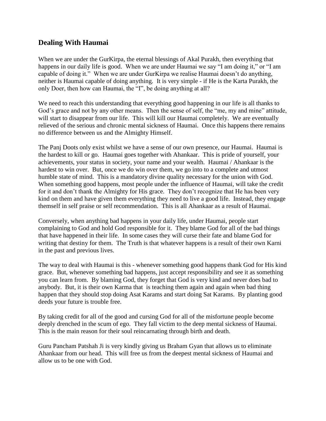## <span id="page-15-0"></span>**Dealing With Haumai**

When we are under the GurKirpa, the eternal blessings of Akal Purakh, then everything that happens in our daily life is good. When we are under Haumai we say "I am doing it," or "I am capable of doing it." When we are under GurKirpa we realise Haumai doesn't do anything, neither is Haumai capable of doing anything. It is very simple - if He is the Karta Purakh, the only Doer, then how can Haumai, the "I", be doing anything at all?

We need to reach this understanding that everything good happening in our life is all thanks to God's grace and not by any other means. Then the sense of self, the "me, my and mine" attitude, will start to disappear from our life. This will kill our Haumai completely. We are eventually relieved of the serious and chronic mental sickness of Haumai. Once this happens there remains no difference between us and the Almighty Himself.

The Panj Doots only exist whilst we have a sense of our own presence, our Haumai. Haumai is the hardest to kill or go. Haumai goes together with Ahankaar. This is pride of yourself, your achievements, your status in society, your name and your wealth. Haumai / Ahankaar is the hardest to win over. But, once we do win over them, we go into to a complete and utmost humble state of mind. This is a mandatory divine quality necessary for the union with God. When something good happens, most people under the influence of Haumai, will take the credit for it and don't thank the Almighty for His grace. They don't recognize that He has been very kind on them and have given them everything they need to live a good life. Instead, they engage themself in self praise or self recommendation. This is all Ahankaar as a result of Haumai.

Conversely, when anything bad happens in your daily life, under Haumai, people start complaining to God and hold God responsible for it. They blame God for all of the bad things that have happened in their life. In some cases they will curse their fate and blame God for writing that destiny for them. The Truth is that whatever happens is a result of their own Karni in the past and previous lives.

The way to deal with Haumai is this - whenever something good happens thank God for His kind grace. But, whenever something bad happens, just accept responsibility and see it as something you can learn from. By blaming God, they forget that God is very kind and never does bad to anybody. But, it is their own Karma that is teaching them again and again when bad thing happen that they should stop doing Asat Karams and start doing Sat Karams. By planting good deeds your future is trouble free.

By taking credit for all of the good and cursing God for all of the misfortune people become deeply drenched in the scum of ego. They fall victim to the deep mental sickness of Haumai. This is the main reason for their soul reincarnating through birth and death.

Guru Pancham Patshah Ji is very kindly giving us Braham Gyan that allows us to eliminate Ahankaar from our head. This will free us from the deepest mental sickness of Haumai and allow us to be one with God.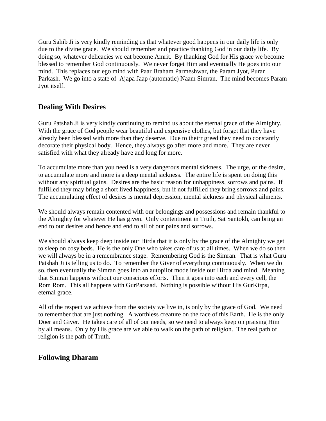Guru Sahib Ji is very kindly reminding us that whatever good happens in our daily life is only due to the divine grace. We should remember and practice thanking God in our daily life. By doing so, whatever delicacies we eat become Amrit. By thanking God for His grace we become blessed to remember God continuously. We never forget Him and eventually He goes into our mind. This replaces our ego mind with Paar Braham Parmeshwar, the Param Jyot, Puran Parkash. We go into a state of Ajapa Jaap (automatic) Naam Simran. The mind becomes Param Jyot itself.

# <span id="page-16-0"></span>**Dealing With Desires**

Guru Patshah Ji is very kindly continuing to remind us about the eternal grace of the Almighty. With the grace of God people wear beautiful and expensive clothes, but forget that they have already been blessed with more than they deserve. Due to theirr greed they need to constantly decorate their physical body. Hence, they always go after more and more. They are never satisfied with what they already have and long for more.

To accumulate more than you need is a very dangerous mental sickness. The urge, or the desire, to accumulate more and more is a deep mental sickness. The entire life is spent on doing this without any spiritual gains. Desires are the basic reason for unhappiness, sorrows and pains. If fulfilled they may bring a short lived happiness, but if not fulfilled they bring sorrows and pains. The accumulating effect of desires is mental depression, mental sickness and physical ailments.

We should always remain contented with our belongings and possessions and remain thankful to the Almighty for whatever He has given. Only contentment in Truth, Sat Santokh, can bring an end to our desires and hence and end to all of our pains and sorrows.

We should always keep deep inside our Hirda that it is only by the grace of the Almighty we get to sleep on cosy beds. He is the only One who takes care of us at all times. When we do so then we will always be in a remembrance stage. Remembering God is the Simran. That is what Guru Patshah Ji is telling us to do. To remember the Giver of everything continuously. When we do so, then eventually the Simran goes into an autopilot mode inside our Hirda and mind. Meaning that Simran happens without our conscious efforts. Then it goes into each and every cell, the Rom Rom. This all happens with GurParsaad. Nothing is possible without His GurKirpa, eternal grace.

All of the respect we achieve from the society we live in, is only by the grace of God. We need to remember that are just nothing. A worthless creature on the face of this Earth. He is the only Doer and Giver. He takes care of all of our needs, so we need to always keep on praising Him by all means. Only by His grace are we able to walk on the path of religion. The real path of religion is the path of Truth.

# <span id="page-16-1"></span>**Following Dharam**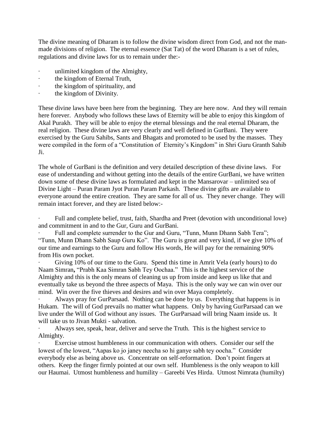The divine meaning of Dharam is to follow the divine wisdom direct from God, and not the manmade divisions of religion. The eternal essence (Sat Tat) of the word Dharam is a set of rules, regulations and divine laws for us to remain under the:-

- · unlimited kingdom of the Almighty,
- the kingdom of Eternal Truth,
- the kingdom of spirituality, and
- · the kingdom of Divinity.

These divine laws have been here from the beginning. They are here now. And they will remain here forever. Anybody who follows these laws of Eternity will be able to enjoy this kingdom of Akal Purakh. They will be able to enjoy the eternal blessings and the real eternal Dharam, the real religion. These divine laws are very clearly and well defined in GurBani. They were exercised by the Guru Sahibs, Sants and Bhagats and promoted to be used by the masses. They were compiled in the form of a "Constitution of Eternity's Kingdom" in Shri Guru Granth Sahib Ji.

The whole of GurBani is the definition and very detailed description of these divine laws. For ease of understanding and without getting into the details of the entire GurBani, we have written down some of these divine laws as formulated and kept in the Mansarovar – unlimited sea of Divine Light – Puran Param Jyot Puran Param Parkash. These divine gifts are available to everyone around the entire creation. They are same for all of us. They never change. They will remain intact forever, and they are listed below:-

Full and complete belief, trust, faith, Shardha and Preet (devotion with unconditional love) and commitment in and to the Gur, Guru and GurBani.

Full and complete surrender to the Gur and Guru, "Tunn, Munn Dhann Sabh Tera"; "Tunn, Munn Dhann Sabh Saup Guru Ko". The Guru is great and very kind, if we give 10% of our time and earnings to the Guru and follow His words, He will pay for the remaining 90% from His own pocket.

Giving 10% of our time to the Guru. Spend this time in Amrit Vela (early hours) to do Naam Simran**,** "Prabh Kaa Simran Sabh Tey Oochaa." This is the highest service of the Almighty and this is the only means of cleaning us up from inside and keep us like that and eventually take us beyond the three aspects of Maya. This is the only way we can win over our mind. Win over the five thieves and desires and win over Maya completely.

· Always pray for GurParsaad. Nothing can be done by us. Everything that happens is in Hukam. The will of God prevails no matter what happens. Only by having GurParsaad can we live under the Will of God without any issues. The GurParsaad will bring Naam inside us. It will take us to Jivan Mukti - salvation.

Always see, speak, hear, deliver and serve the Truth. This is the highest service to Almighty.

Exercise utmost humbleness in our communication with others. Consider our self the lowest of the lowest, "Aapas ko jo janey neecha so hi ganye sabh tey oocha." Consider everybody else as being above us. Concentrate on self-reformation. Don't point fingers at others. Keep the finger firmly pointed at our own self. Humbleness is the only weapon to kill our Haumai. Utmost humbleness and humility – Gareebi Ves Hirda. Utmost Nimrata (humilty)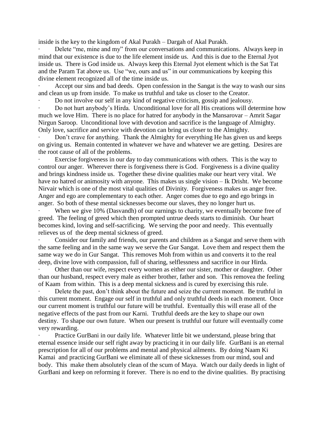inside is the key to the kingdom of Akal Purakh – Dargah of Akal Purakh.

Delete "me, mine and my" from our conversations and communications. Always keep in mind that our existence is due to the life element inside us. And this is due to the Eternal Jyot inside us. There is God inside us. Always keep this Eternal Jyot element which is the Sat Tat and the Param Tat above us. Use "we, ours and us" in our communications by keeping this divine element recognized all of the time inside us.

Accept our sins and bad deeds. Open confession in the Sangat is the way to wash our sins and clean us up from inside. To make us truthful and take us closer to the Creator.

· Do not involve our self in any kind of negative criticism, gossip and jealousy.

· Do not hurt anybody's Hirda. Unconditional love for all His creations will determine how much we love Him. There is no place for hatred for anybody in the Mansarovar – Amrit Sagar Nirgun Saroop. Unconditional love with devotion and sacrifice is the language of Almighty. Only love, sacrifice and service with devotion can bring us closer to the Almighty.

Don't crave for anything. Thank the Almighty for everything He has given us and keeps on giving us. Remain contented in whatever we have and whatever we are getting. Desires are the root cause of all of the problems.

Exercise forgiveness in our day to day communications with others. This is the way to control our anger. Wherever there is forgiveness there is God. Forgiveness is a divine quality and brings kindness inside us. Together these divine qualities make our heart very vital. We have no hatred or animosity with anyone. This makes us single vision – Ik Drisht. We become Nirvair which is one of the most vital qualities of Divinity. Forgiveness makes us anger free. Anger and ego are complementary to each other. Anger comes due to ego and ego brings in anger. So both of these mental sicknesses become our slaves, they no longer hurt us.

When we give 10% (Dasvandh) of our earnings to charity, we eventually become free of greed. The feeling of greed which then prompted untrue deeds starts to diminish. Our heart becomes kind, loving and self-sacrificing. We serving the poor and needy. This eventually relieves us of the deep mental sickness of greed.

Consider our family and friends, our parents and children as a Sangat and serve them with the same feeling and in the same way we serve the Gur Sangat. Love them and respect them the same way we do in Gur Sangat. This removes Moh from within us and converts it to the real deep, divine love with compassion, full of sharing, selflessness and sacrifice in our Hirda.

Other than our wife, respect every women as either our sister, mother or daughter. Other than our husband, respect every male as either brother, father and son. This removea the feeling of Kaam from within. This is a deep mental sickness and is cured by exercising this rule.

Delete the past, don't think about the future and seize the current moment. Be truthful in this current moment. Engage our self in truthful and only truthful deeds in each moment. Once our current moment is truthful our future will be truthful. Eventually this will erase all of the negative effects of the past from our Karni. Truthful deeds are the key to shape our own destiny. To shape our own future. When our present is truthful our future will eventually come very rewarding.

Practice GurBani in our daily life. Whatever little bit we understand, please bring that eternal essence inside our self right away by practicing it in our daily life. GurBani is an eternal prescription for all of our problems and mental and physical ailments. By doing Naam Ki Kamai and practicing GurBani we eliminate all of these sicknesses from our mind, soul and body. This make them absolutely clean of the scum of Maya. Watch our daily deeds in light of GurBani and keep on reforming it forever. There is no end to the divine qualities. By practising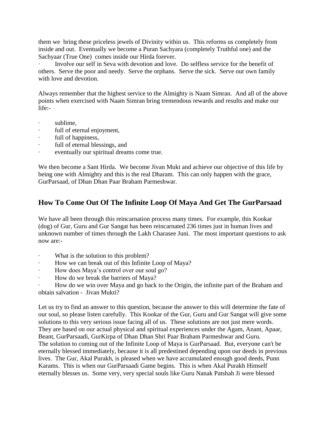them we bring these priceless jewels of Divinity within us. This reforms us completely from inside and out. Eventually we become a Puran Sachyara (completely Truthful one) and the Sachyaar (True One) comes inside our Hirda forever.

· Involve our self in Seva with devotion and love. Do selfless service for the benefit of others. Serve the poor and needy. Serve the orphans. Serve the sick. Serve our own family with love and devotion.

Always remember that the highest service to the Almighty is Naam Simran. And all of the above points when exercised with Naam Simran bring tremendous rewards and results and make our life:-

- sublime.
- · full of eternal enjoyment,
- full of happiness,
- full of eternal blessings, and
- eventually our spiritual dreams come true.

We then become a Sant Hirda. We become Jivan Mukt and achieve our objective of this life by being one with Almighty and this is the real Dharam. This can only happen with the grace, GurParsaad, of Dhan Dhan Paar Braham Parmeshwar.

# <span id="page-19-0"></span>**How To Come Out Of The Infinite Loop Of Maya And Get The GurParsaad**

We have all been through this reincarnation process many times. For example, this Kookar (dog) of Gur, Guru and Gur Sangat has been reincarnated 236 times just in human lives and unknown number of times through the Lakh Charasee Juni. The most important questions to ask now are:-

- What is the solution to this problem?
- How we can break out of this Infinite Loop of Maya?
- · How does Maya's control over our soul go?
- · How do we break the barriers of Maya?

· How do we win over Maya and go back to the Origin, the infinite part of the Braham and obtain salvation - Jivan Mukti?

Let us try to find an answer to this question, because the answer to this will determine the fate of our soul, so please listen carefully. This Kookar of the Gur, Guru and Gur Sangat will give some solutions to this very serious issue facing all of us. These solutions are not just mere words. They are based on our actual physical and spiritual experiences under the Agam, Anant, Apaar, Beant, GurParsaadi, GurKirpa of Dhan Dhan Shri Paar Braham Parmeshwar and Guru. The solution to coming out of the Infinite Loop of Maya is GurParsaad. But, everyone can't be eternally blessed immediately, because it is all predestined depending upon our deeds in previous lives. The Gur, Akal Purakh, is pleased when we have accumulated enough good deeds, Punn Karams. This is when our GurParsaadi Game begins. This is when Akal Purakh Himself eternally blesses us. Some very, very special souls like Guru Nanak Patshah Ji were blessed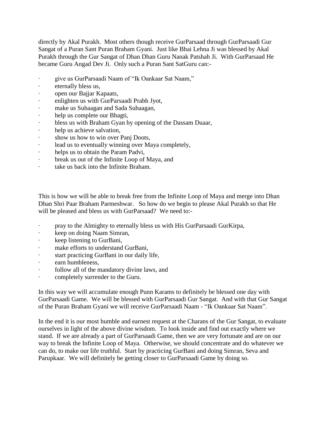directly by Akal Purakh. Most others though receive GurParsaad through GurParsaadi Gur Sangat of a Puran Sant Puran Braham Gyani. Just like Bhai Lehna Ji was blessed by Akal Purakh through the Gur Sangat of Dhan Dhan Guru Nanak Patshah Ji. With GurParsaad He became Guru Angad Dev Ji. Only such a Puran Sant SatGuru can:-

- give us GurParsaadi Naam of "Ik Oankaar Sat Naam,"
- · eternally bless us,
- · open our Bajjar Kapaats,
- enlighten us with GurParsaadi Prabh Jyot,
- make us Suhaagan and Sada Suhaagan,
- · help us complete our Bhagti,
- · bless us with Braham Gyan by opening of the Dassam Duaar,
- · help us achieve salvation,
- show us how to win over Panj Doots,
- · lead us to eventually winning over Maya completely,
- · helps us to obtain the Param Padvi,
- · break us out of the Infinite Loop of Maya, and
- take us back into the Infinite Braham.

This is how we will be able to break free from the Infinite Loop of Maya and merge into Dhan Dhan Shri Paar Braham Parmeshwar. So how do we begin to please Akal Purakh so that He will be pleased and bless us with GurParsaad? We need to:-

- · pray to the Almighty to eternally bless us with His GurParsaadi GurKirpa,
- · keep on doing Naam Simran,
- keep listening to GurBani,
- · make efforts to understand GurBani,
- start practicing GurBani in our daily life,
- · earn humbleness,
- follow all of the mandatory divine laws, and
- · completely surrender to the Guru.

In this way we will accumulate enough Punn Karams to definitely be blessed one day with GurParsaadi Game. We will be blessed with GurParsaadi Gur Sangat. And with that Gur Sangat of the Puran Braham Gyani we will receive GurParsaadi Naam - "Ik Oankaar Sat Naam".

In the end it is our most humble and earnest request at the Charans of the Gur Sangat, to evaluate ourselves in light of the above divine wisdom. To look inside and find out exactly where we stand. If we are already a part of GurParsaadi Game, then we are very fortunate and are on our way to break the Infinite Loop of Maya. Otherwise, we should concentrate and do whatever we can do, to make our life truthful. Start by practicing GurBani and doing Simran, Seva and Parupkaar. We will definitely be getting closer to GurParsaadi Game by doing so.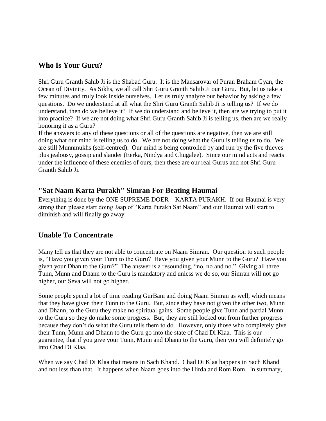## <span id="page-21-0"></span>**Who Is Your Guru?**

Shri Guru Granth Sahib Ji is the Shabad Guru. It is the Mansarovar of Puran Braham Gyan, the Ocean of Divinity. As Sikhs, we all call Shri Guru Granth Sahib Ji our Guru. But, let us take a few minutes and truly look inside ourselves. Let us truly analyze our behavior by asking a few questions. Do we understand at all what the Shri Guru Granth Sahib Ji is telling us? If we do understand, then do we believe it? If we do understand and believe it, then are we trying to put it into practice? If we are not doing what Shri Guru Granth Sahib Ji is telling us, then are we really honoring it as a Guru?

If the answers to any of these questions or all of the questions are negative, then we are still doing what our mind is telling us to do. We are not doing what the Guru is telling us to do. We are still Munnmukhs (self-centred). Our mind is being controlled by and run by the five thieves plus jealousy, gossip and slander (Eerka, Nindya and Chugalee). Since our mind acts and reacts under the influence of these enemies of ours, then these are our real Gurus and not Shri Guru Granth Sahib Ji.

## <span id="page-21-1"></span>**"Sat Naam Karta Purakh" Simran For Beating Haumai**

Everything is done by the ONE SUPREME DOER – KARTA PURAKH. If our Haumai is very strong then please start doing Jaap of "Karta Purakh Sat Naam" and our Haumai will start to diminish and will finally go away.

# <span id="page-21-2"></span>**Unable To Concentrate**

Many tell us that they are not able to concentrate on Naam Simran. Our question to such people is, "Have you given your Tunn to the Guru? Have you given your Munn to the Guru? Have you given your Dhan to the Guru?" The answer is a resounding, "no, no and no." Giving all three – Tunn, Munn and Dhann to the Guru is mandatory and unless we do so, our Simran will not go higher, our Seva will not go higher.

Some people spend a lot of time reading GurBani and doing Naam Simran as well, which means that they have given their Tunn to the Guru. But, since they have not given the other two, Munn and Dhann, to the Guru they make no spiritual gains. Some people give Tunn and partial Munn to the Guru so they do make some progress. But, they are still locked out from further progress because they don't do what the Guru tells them to do. However, only those who completely give their Tunn, Munn and Dhann to the Guru go into the state of Chad Di Klaa. This is our guarantee, that if you give your Tunn, Munn and Dhann to the Guru, then you will definitely go into Chad Di Klaa.

When we say Chad Di Klaa that means in Sach Khand. Chad Di Klaa happens in Sach Khand and not less than that. It happens when Naam goes into the Hirda and Rom Rom. In summary,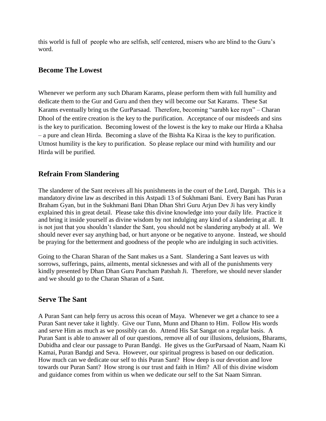this world is full of people who are selfish, self centered, misers who are blind to the Guru's word.

#### <span id="page-22-0"></span>**Become The Lowest**

Whenever we perform any such Dharam Karams, please perform them with full humility and dedicate them to the Gur and Guru and then they will become our Sat Karams. These Sat Karams eventually bring us the GurParsaad. Therefore, becoming "sarabh kee rayn" – Charan Dhool of the entire creation is the key to the purification. Acceptance of our misdeeds and sins is the key to purification. Becoming lowest of the lowest is the key to make our Hirda a Khalsa – a pure and clean Hirda. Becoming a slave of the Bishta Ka Kiraa is the key to purification. Utmost humility is the key to purification. So please replace our mind with humility and our Hirda will be purified.

# <span id="page-22-1"></span>**Refrain From Slandering**

The slanderer of the Sant receives all his punishments in the court of the Lord, Dargah. This is a mandatory divine law as described in this Astpadi 13 of Sukhmani Bani. Every Bani has Puran Braham Gyan, but in the Sukhmani Bani Dhan Dhan Shri Guru Arjun Dev Ji has very kindly explained this in great detail. Please take this divine knowledge into your daily life. Practice it and bring it inside yourself as divine wisdom by not indulging any kind of a slandering at all. It is not just that you shouldn't slander the Sant, you should not be slandering anybody at all. We should never ever say anything bad, or hurt anyone or be negative to anyone. Instead, we should be praying for the betterment and goodness of the people who are indulging in such activities.

Going to the Charan Sharan of the Sant makes us a Sant. Slandering a Sant leaves us with sorrows, sufferings, pains, ailments, mental sicknesses and with all of the punishments very kindly presented by Dhan Dhan Guru Pancham Patshah Ji. Therefore, we should never slander and we should go to the Charan Sharan of a Sant.

## <span id="page-22-2"></span>**Serve The Sant**

A Puran Sant can help ferry us across this ocean of Maya. Whenever we get a chance to see a Puran Sant never take it lightly. Give our Tunn, Munn and Dhann to Him. Follow His words and serve Him as much as we possibly can do. Attend His Sat Sangat on a regular basis. A Puran Sant is able to answer all of our questions, remove all of our illusions, delusions, Bharams, Dubidha and clear our passage to Puran Bandgi. He gives us the GurParsaad of Naam, Naam Ki Kamai, Puran Bandgi and Seva. However, our spiritual progress is based on our dedication. How much can we dedicate our self to this Puran Sant? How deep is our devotion and love towards our Puran Sant? How strong is our trust and faith in Him? All of this divine wisdom and guidance comes from within us when we dedicate our self to the Sat Naam Simran.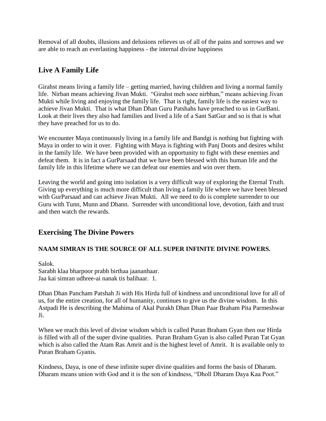Removal of all doubts, illusions and delusions relieves us of all of the pains and sorrows and we are able to reach an everlasting happiness - the internal divine happiness

# <span id="page-23-0"></span>**Live A Family Life**

Girahst means living a family life – getting married, having children and living a normal family life. Nirban means achieving Jivan Mukti. "Girahst meh soee nirbhan," means achieving Jivan Mukti while living and enjoying the family life. That is right, family life is the easiest way to achieve Jivan Mukti. That is what Dhan Dhan Guru Patshahs have preached to us in GurBani. Look at their lives they also had families and lived a life of a Sant SatGur and so is that is what they have preached for us to do.

We encounter Maya continuously living in a family life and Bandgi is nothing but fighting with Maya in order to win it over. Fighting with Maya is fighting with Panj Doots and desires whilst in the family life. We have been provided with an opportunity to fight with these enemies and defeat them. It is in fact a GurParsaad that we have been blessed with this human life and the family life in this lifetime where we can defeat our enemies and win over them.

Leaving the world and going into isolation is a very difficult way of exploring the Eternal Truth. Giving up everything is much more difficult than living a family life where we have been blessed with GurParsaad and can achieve Jivan Mukti. All we need to do is complete surrender to our Guru with Tunn, Munn and Dhann. Surrender with unconditional love, devotion, faith and trust and then watch the rewards.

# <span id="page-23-1"></span>**Exercising The Divine Powers**

## **NAAM SIMRAN IS THE SOURCE OF ALL SUPER INFINITE DIVINE POWERS.**

Salok. Sarabh klaa bharpoor prabh birthaa jaananhaar. Jaa kai simran udhree-ai nanak tis balihaar. 1.

Dhan Dhan Pancham Patshah Ji with His Hirda full of kindness and unconditional love for all of us, for the entire creation, for all of humanity, continues to give us the divine wisdom. In this Astpadi He is describing the Mahima of Akal Purakh Dhan Dhan Paar Braham Pita Parmeshwar Ji.

When we reach this level of divine wisdom which is called Puran Braham Gyan then our Hirda is filled with all of the super divine qualities. Puran Braham Gyan is also called Puran Tat Gyan which is also called the Atam Ras Amrit and is the highest level of Amrit. It is available only to Puran Braham Gyanis.

Kindness, Daya, is one of these infinite super divine qualities and forms the basis of Dharam. Dharam means union with God and it is the son of kindness, "Dholl Dharam Daya Kaa Poot."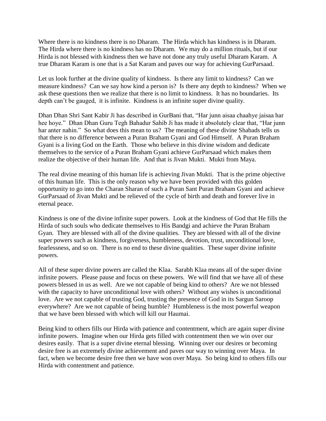Where there is no kindness there is no Dharam. The Hirda which has kindness is in Dharam. The Hirda where there is no kindness has no Dharam. We may do a million rituals, but if our Hirda is not blessed with kindness then we have not done any truly useful Dharam Karam. A true Dharam Karam is one that is a Sat Karam and paves our way for achieving GurParsaad.

Let us look further at the divine quality of kindness. Is there any limit to kindness? Can we measure kindness? Can we say how kind a person is? Is there any depth to kindness? When we ask these questions then we realize that there is no limit to kindness. It has no boundaries. Its depth can't be gauged, it is infinite. Kindness is an infinite super divine quality.

Dhan Dhan Shri Sant Kabir Ji has described in GurBani that, "Har junn aisaa chaahye jaisaa har hee hoye." Dhan Dhan Guru Tegh Bahadur Sahib Ji has made it absolutely clear that, "Har junn har anter nahin." So what does this mean to us? The meaning of these divine Shabads tells us that there is no difference between a Puran Braham Gyani and God Himself. A Puran Braham Gyani is a living God on the Earth. Those who believe in this divine wisdom and dedicate themselves to the service of a Puran Braham Gyani achieve GurParsaad which makes them realize the objective of their human life. And that is Jivan Mukti. Mukti from Maya.

The real divine meaning of this human life is achieving Jivan Mukti. That is the prime objective of this human life. This is the only reason why we have been provided with this golden opportunity to go into the Charan Sharan of such a Puran Sant Puran Braham Gyani and achieve GurParsaad of Jivan Mukti and be relieved of the cycle of birth and death and forever live in eternal peace.

Kindness is one of the divine infinite super powers. Look at the kindness of God that He fills the Hirda of such souls who dedicate themselves to His Bandgi and achieve the Puran Braham Gyan. They are blessed with all of the divine qualities. They are blessed with all of the divine super powers such as kindness, forgiveness, humbleness, devotion, trust, unconditional love, fearlessness, and so on. There is no end to these divine qualities. These super divine infinite powers.

All of these super divine powers are called the Klaa. Sarabh Klaa means all of the super divine infinite powers. Please pause and focus on these powers. We will find that we have all of these powers blessed in us as well. Are we not capable of being kind to others? Are we not blessed with the capacity to have unconditional love with others? Without any wishes is unconditional love. Are we not capable of trusting God, trusting the presence of God in its Sargun Saroop everywhere? Are we not capable of being humble? Humbleness is the most powerful weapon that we have been blessed with which will kill our Haumai.

Being kind to others fills our Hirda with patience and contentment, which are again super divine infinite powers. Imagine when our Hirda gets filled with contentment then we win over our desires easily. That is a super divine eternal blessing. Winning over our desires or becoming desire free is an extremely divine achievement and paves our way to winning over Maya. In fact, when we become desire free then we have won over Maya. So being kind to others fills our Hirda with contentment and patience.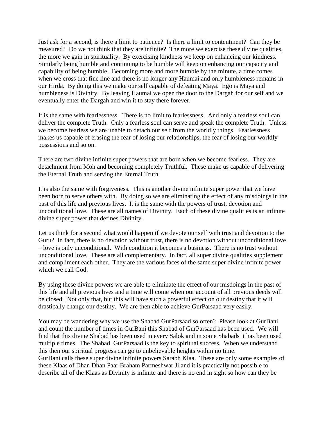Just ask for a second, is there a limit to patience? Is there a limit to contentment? Can they be measured? Do we not think that they are infinite? The more we exercise these divine qualities, the more we gain in spirituality. By exercising kindness we keep on enhancing our kindness. Similarly being humble and continuing to be humble will keep on enhancing our capacity and capability of being humble. Becoming more and more humble by the minute, a time comes when we cross that fine line and there is no longer any Haumai and only humbleness remains in our Hirda. By doing this we make our self capable of defeating Maya. Ego is Maya and humbleness is Divinity. By leaving Haumai we open the door to the Dargah for our self and we eventually enter the Dargah and win it to stay there forever.

It is the same with fearlessness. There is no limit to fearlessness. And only a fearless soul can deliver the complete Truth. Only a fearless soul can serve and speak the complete Truth. Unless we become fearless we are unable to detach our self from the worldly things. Fearlessness makes us capable of erasing the fear of losing our relationships, the fear of losing our worldly possessions and so on.

There are two divine infinite super powers that are born when we become fearless. They are detachment from Moh and becoming completely Truthful. These make us capable of delivering the Eternal Truth and serving the Eternal Truth.

It is also the same with forgiveness. This is another divine infinite super power that we have been born to serve others with. By doing so we are eliminating the effect of any misdoings in the past of this life and previous lives. It is the same with the powers of trust, devotion and unconditional love. These are all names of Divinity. Each of these divine qualities is an infinite divine super power that defines Divinity.

Let us think for a second what would happen if we devote our self with trust and devotion to the Guru? In fact, there is no devotion without trust, there is no devotion without unconditional love – love is only unconditional. With condition it becomes a business. There is no trust without unconditional love. These are all complementary. In fact, all super divine qualities supplement and compliment each other. They are the various faces of the same super divine infinite power which we call God.

By using these divine powers we are able to eliminate the effect of our misdoings in the past of this life and all previous lives and a time will come when our account of all previous deeds will be closed. Not only that, but this will have such a powerful effect on our destiny that it will drastically change our destiny. We are then able to achieve GurParsaad very easily.

You may be wandering why we use the Shabad GurParsaad so often? Please look at GurBani and count the number of times in GurBani this Shabad of GurParsaad has been used. We will find that this divine Shabad has been used in every Salok and in some Shabads it has been used multiple times. The Shabad GurParsaad is the key to spiritual success. When we understand this then our spiritual progress can go to unbelievable heights within no time. GurBani calls these super divine infinite powers Sarabh Klaa. These are only some examples of these Klaas of Dhan Dhan Paar Braham Parmeshwar Ji and it is practically not possible to describe all of the Klaas as Divinity is infinite and there is no end in sight so how can they be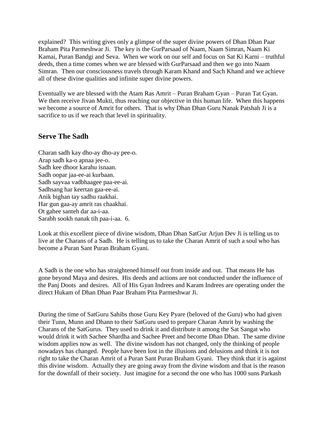explained? This writing gives only a glimpse of the super divine powers of Dhan Dhan Paar Braham Pita Parmeshwar Ji. The key is the GurParsaad of Naam, Naam Simran, Naam Ki Kamai, Puran Bandgi and Seva. When we work on our self and focus on Sat Ki Karni – truthful deeds, then a time comes when we are blessed with GurParsaad and then we go into Naam Simran. Then our consciousness travels through Karam Khand and Sach Khand and we achieve all of these divine qualities and infinite super divine powers.

Eventually we are blessed with the Atam Ras Amrit – Puran Braham Gyan – Puran Tat Gyan. We then receive Jivan Mukti, thus reaching our objective in this human life. When this happens we become a source of Amrit for others. That is why Dhan Dhan Guru Nanak Patshah Ji is a sacrifice to us if we reach that level in spirituality.

#### <span id="page-26-0"></span>**Serve The Sadh**

Charan sadh kay dho-ay dho-ay pee-o. Arap sadh ka-o apnaa jee-o. Sadh kee dhoor karahu isnaan. Sadh oopar jaa-ee-ai kurbaan. Sadh sayvaa vadbhaagee paa-ee-ai. Sadhsang har keertan gaa-ee-ai. Anik bighan tay sadhu raakhai. Har gun gaa-ay amrit ras chaakhai. Ot gahee santeh dar aa-i-aa. Sarabh sookh nanak tih paa-i-aa. 6.

Look at this excellent piece of divine wisdom, Dhan Dhan SatGur Arjun Dev Ji is telling us to live at the Charans of a Sadh. He is telling us to take the Charan Amrit of such a soul who has become a Puran Sant Puran Braham Gyani.

A Sadh is the one who has straightened himself out from inside and out. That means He has gone beyond Maya and desires. His deeds and actions are not conducted under the influence of the Panj Doots and desires. All of His Gyan Indrees and Karam Indrees are operating under the direct Hukam of Dhan Dhan Paar Braham Pita Parmeshwar Ji.

During the time of SatGuru Sahibs those Guru Key Pyare (beloved of the Guru) who had given their Tunn, Munn and Dhann to their SatGuru used to prepare Charan Amrit by washing the Charans of the SatGurus. They used to drink it and distribute it among the Sat Sangat who would drink it with Sachee Shardha and Sachee Preet and become Dhan Dhan. The same divine wisdom applies now as well. The divine wisdom has not changed, only the thinking of people nowadays has changed. People have been lost in the illusions and delusions and think it is not right to take the Charan Amrit of a Puran Sant Puran Braham Gyani. They think that it is against this divine wisdom. Actually they are going away from the divine wisdom and that is the reason for the downfall of their society. Just imagine for a second the one who has 1000 suns Parkash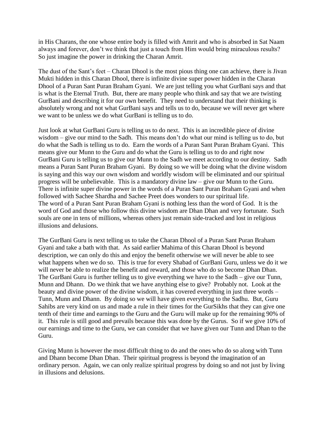in His Charans, the one whose entire body is filled with Amrit and who is absorbed in Sat Naam always and forever, don't we think that just a touch from Him would bring miraculous results? So just imagine the power in drinking the Charan Amrit.

The dust of the Sant's feet – Charan Dhool is the most pious thing one can achieve, there is Jivan Mukti hidden in this Charan Dhool, there is infinite divine super power hidden in the Charan Dhool of a Puran Sant Puran Braham Gyani. We are just telling you what GurBani says and that is what is the Eternal Truth. But, there are many people who think and say that we are twisting GurBani and describing it for our own benefit. They need to understand that their thinking is absolutely wrong and not what GurBani says and tells us to do, because we will never get where we want to be unless we do what GurBani is telling us to do.

Just look at what GurBani Guru is telling us to do next. This is an incredible piece of divine wisdom – give our mind to the Sadh. This means don't do what our mind is telling us to do, but do what the Sadh is telling us to do. Earn the words of a Puran Sant Puran Braham Gyani. This means give our Munn to the Guru and do what the Guru is telling us to do and right now GurBani Guru is telling us to give our Munn to the Sadh we meet according to our destiny. Sadh means a Puran Sant Puran Braham Gyani. By doing so we will be doing what the divine wisdom is saying and this way our own wisdom and worldly wisdom will be eliminated and our spiritual progress will be unbelievable. This is a mandatory divine law – give our Munn to the Guru. There is infinite super divine power in the words of a Puran Sant Puran Braham Gyani and when followed with Sachee Shardha and Sachee Preet does wonders to our spiritual life. The word of a Puran Sant Puran Braham Gyani is nothing less than the word of God. It is the word of God and those who follow this divine wisdom are Dhan Dhan and very fortunate. Such souls are one in tens of millions, whereas others just remain side-tracked and lost in religious illusions and delusions.

The GurBani Guru is next telling us to take the Charan Dhool of a Puran Sant Puran Braham Gyani and take a bath with that. As said earlier Mahima of this Charan Dhool is beyond description, we can only do this and enjoy the benefit otherwise we will never be able to see what happens when we do so. This is true for every Shabad of GurBani Guru, unless we do it we will never be able to realize the benefit and reward, and those who do so become Dhan Dhan. The GurBani Guru is further telling us to give everything we have to the Sadh – give our Tunn, Munn and Dhann. Do we think that we have anything else to give? Probably not. Look at the beauty and divine power of the divine wisdom, it has covered everything in just three words – Tunn, Munn and Dhann. By doing so we will have given everything to the Sadhu. But, Guru Sahibs are very kind on us and made a rule in their times for the GurSikhs that they can give one tenth of their time and earnings to the Guru and the Guru will make up for the remaining 90% of it. This rule is still good and prevails because this was done by the Gurus. So if we give 10% of our earnings and time to the Guru, we can consider that we have given our Tunn and Dhan to the Guru.

Giving Munn is however the most difficult thing to do and the ones who do so along with Tunn and Dhann become Dhan Dhan. Their spiritual progress is beyond the imagination of an ordinary person. Again, we can only realize spiritual progress by doing so and not just by living in illusions and delusions.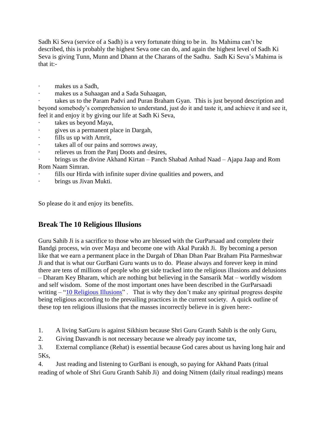Sadh Ki Seva (service of a Sadh) is a very fortunate thing to be in. Its Mahima can't be described, this is probably the highest Seva one can do, and again the highest level of Sadh Ki Seva is giving Tunn, Munn and Dhann at the Charans of the Sadhu. Sadh Ki Seva's Mahima is that it:-

- makes us a Sadh.
- · makes us a Suhaagan and a Sada Suhaagan,

takes us to the Param Padvi and Puran Braham Gyan. This is just beyond description and beyond somebody's comprehension to understand, just do it and taste it, and achieve it and see it, feel it and enjoy it by giving our life at Sadh Ki Seva,

- takes us beyond Maya,
- · gives us a permanent place in Dargah,
- fills us up with Amrit,
- takes all of our pains and sorrows away,
- · relieves us from the Panj Doots and desires,

· brings us the divine Akhand Kirtan – Panch Shabad Anhad Naad – Ajapa Jaap and Rom Rom Naam Simran.

- fills our Hirda with infinite super divine qualities and powers, and
- brings us Jivan Mukti.

So please do it and enjoy its benefits.

# <span id="page-28-0"></span>**Break The 10 Religious Illusions**

Guru Sahib Ji is a sacrifice to those who are blessed with the GurParsaad and complete their Bandgi process, win over Maya and become one with Akal Purakh Ji. By becoming a person like that we earn a permanent place in the Dargah of Dhan Dhan Paar Braham Pita Parmeshwar Ji and that is what our GurBani Guru wants us to do. Please always and forever keep in mind there are tens of millions of people who get side tracked into the religious illusions and delusions – Dharam Key Bharam, which are nothing but believing in the Sansarik Mat – worldly wisdom and self wisdom. Some of the most important ones have been described in the GurParsaadi writing – ["10 Religious Illusions"](http://www.satnaam.info/index.php?option=com_content&task=category§ionid=2&id=5&Itemid=12). That is why they don't make any spiritual progress despite being religious according to the prevailing practices in the current society. A quick outline of these top ten religious illusions that the masses incorrectly believe in is given here:-

1. A living SatGuru is against Sikhism because Shri Guru Granth Sahib is the only Guru,

2. Giving Dasvandh is not necessary because we already pay income tax,

3. External compliance (Rehat) is essential because God cares about us having long hair and 5Ks,

4. Just reading and listening to GurBani is enough, so paying for Akhand Paats (ritual reading of whole of Shri Guru Granth Sahib Ji) and doing Nitnem (daily ritual readings) means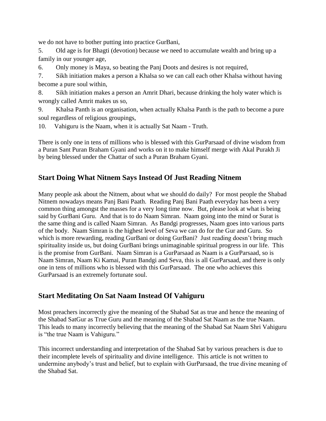we do not have to bother putting into practice GurBani,

5. Old age is for Bhagti (devotion) because we need to accumulate wealth and bring up a family in our younger age,

6. Only money is Maya, so beating the Panj Doots and desires is not required,

7. Sikh initiation makes a person a Khalsa so we can call each other Khalsa without having become a pure soul within,

8. Sikh initiation makes a person an Amrit Dhari, because drinking the holy water which is wrongly called Amrit makes us so,

9. Khalsa Panth is an organisation, when actually Khalsa Panth is the path to become a pure soul regardless of religious groupings,

10. Vahiguru is the Naam, when it is actually Sat Naam - Truth.

There is only one in tens of millions who is blessed with this GurParsaad of divine wisdom from a Puran Sant Puran Braham Gyani and works on it to make himself merge with Akal Purakh Ji by being blessed under the Chattar of such a Puran Braham Gyani.

# <span id="page-29-0"></span>**Start Doing What Nitnem Says Instead Of Just Reading Nitnem**

Many people ask about the Nitnem, about what we should do daily? For most people the Shabad Nitnem nowadays means Panj Bani Paath. Reading Panj Bani Paath everyday has been a very common thing amongst the masses for a very long time now. But, please look at what is being said by GurBani Guru. And that is to do Naam Simran. Naam going into the mind or Surat is the same thing and is called Naam Simran. As Bandgi progresses, Naam goes into various parts of the body. Naam Simran is the highest level of Seva we can do for the Gur and Guru. So which is more rewarding, reading GurBani or doing GurBani? Just reading doesn't bring much spirituality inside us, but doing GurBani brings unimaginable spiritual progress in our life. This is the promise from GurBani. Naam Simran is a GurParsaad as Naam is a GurParsaad, so is Naam Simran, Naam Ki Kamai, Puran Bandgi and Seva, this is all GurParsaad, and there is only one in tens of millions who is blessed with this GurParsaad. The one who achieves this GurParsaad is an extremely fortunate soul.

# <span id="page-29-1"></span>**Start Meditating On Sat Naam Instead Of Vahiguru**

Most preachers incorrectly give the meaning of the Shabad Sat as true and hence the meaning of the Shabad SatGur as True Guru and the meaning of the Shabad Sat Naam as the true Naam. This leads to many incorrectly believing that the meaning of the Shabad Sat Naam Shri Vahiguru is "the true Naam is Vahiguru."

This incorrect understanding and interpretation of the Shabad Sat by various preachers is due to their incomplete levels of spirituality and divine intelligence. This article is not written to undermine anybody's trust and belief, but to explain with GurParsaad, the true divine meaning of the Shabad Sat.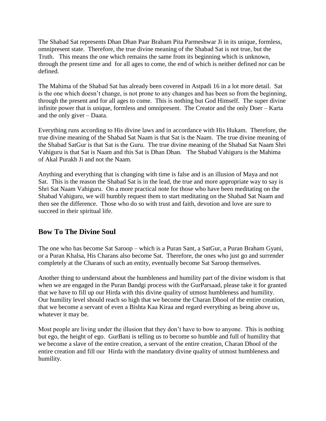The Shabad Sat represents Dhan Dhan Paar Braham Pita Parmeshwar Ji in its unique, formless, omnipresent state. Therefore, the true divine meaning of the Shabad Sat is not true, but the Truth. This means the one which remains the same from its beginning which is unknown, through the present time and for all ages to come, the end of which is neither defined nor can be defined.

The Mahima of the Shabad Sat has already been covered in Astpadi 16 in a lot more detail. Sat is the one which doesn't change, is not prone to any changes and has been so from the beginning, through the present and for all ages to come. This is nothing but God Himself. The super divine infinite power that is unique, formless and omnipresent. The Creator and the only Doer – Karta and the only giver – Daata.

Everything runs according to His divine laws and in accordance with His Hukam. Therefore, the true divine meaning of the Shabad Sat Naam is that Sat is the Naam. The true divine meaning of the Shabad SatGur is that Sat is the Guru. The true divine meaning of the Shabad Sat Naam Shri Vahiguru is that Sat is Naam and this Sat is Dhan Dhan. The Shabad Vahiguru is the Mahima of Akal Purakh Ji and not the Naam.

Anything and everything that is changing with time is false and is an illusion of Maya and not Sat. This is the reason the Shabad Sat is in the lead, the true and more appropriate way to say is Shri Sat Naam Vahiguru. On a more practical note for those who have been meditating on the Shabad Vahiguru, we will humbly request them to start meditating on the Shabad Sat Naam and then see the difference. Those who do so with trust and faith, devotion and love are sure to succeed in their spiritual life.

# <span id="page-30-0"></span>**Bow To The Divine Soul**

The one who has become Sat Saroop – which is a Puran Sant, a SatGur, a Puran Braham Gyani, or a Puran Khalsa, His Charans also become Sat. Therefore, the ones who just go and surrender completely at the Charans of such an entity, eventually become Sat Saroop themselves.

Another thing to understand about the humbleness and humility part of the divine wisdom is that when we are engaged in the Puran Bandgi process with the GurParsaad, please take it for granted that we have to fill up our Hirda with this divine quality of utmost humbleness and humility. Our humility level should reach so high that we become the Charan Dhool of the entire creation, that we become a servant of even a Bishta Kaa Kiraa and regard everything as being above us, whatever it may be.

Most people are living under the illusion that they don't have to bow to anyone. This is nothing but ego, the height of ego. GurBani is telling us to become so humble and full of humility that we become a slave of the entire creation, a servant of the entire creation, Charan Dhool of the entire creation and fill our Hirda with the mandatory divine quality of utmost humbleness and humility.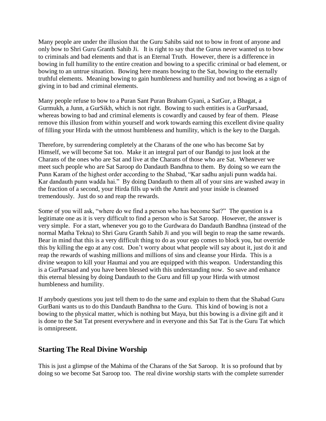Many people are under the illusion that the Guru Sahibs said not to bow in front of anyone and only bow to Shri Guru Granth Sahib Ji. It is right to say that the Gurus never wanted us to bow to criminals and bad elements and that is an Eternal Truth. However, there is a difference in bowing in full humility to the entire creation and bowing to a specific criminal or bad element, or bowing to an untrue situation. Bowing here means bowing to the Sat, bowing to the eternally truthful elements. Meaning bowing to gain humbleness and humility and not bowing as a sign of giving in to bad and criminal elements.

Many people refuse to bow to a Puran Sant Puran Braham Gyani, a SatGur, a Bhagat, a Gurmukh, a Junn, a GurSikh, which is not right. Bowing to such entities is a GurParsaad, whereas bowing to bad and criminal elements is cowardly and caused by fear of them. Please remove this illusion from within yourself and work towards earning this excellent divine quality of filling your Hirda with the utmost humbleness and humility, which is the key to the Dargah.

Therefore, by surrendering completely at the Charans of the one who has become Sat by Himself, we will become Sat too. Make it an integral part of our Bandgi to just look at the Charans of the ones who are Sat and live at the Charans of those who are Sat. Whenever we meet such people who are Sat Saroop do Dandauth Bandhna to them. By doing so we earn the Punn Karam of the highest order according to the Shabad, "Kar sadhu anjuli punn wadda hai. Kar dandauth punn wadda hai." By doing Dandauth to them all of your sins are washed away in the fraction of a second, your Hirda fills up with the Amrit and your inside is cleansed tremendously. Just do so and reap the rewards.

Some of you will ask, "where do we find a person who has become Sat?" The question is a legitimate one as it is very difficult to find a person who is Sat Saroop. However, the answer is very simple. For a start, whenever you go to the Gurdwara do Dandauth Bandhna (instead of the normal Matha Tekna) to Shri Guru Granth Sahib Ji and you will begin to reap the same rewards. Bear in mind that this is a very difficult thing to do as your ego comes to block you, but override this by killing the ego at any cost. Don't worry about what people will say about it, just do it and reap the rewards of washing millions and millions of sins and cleanse your Hirda. This is a divine weapon to kill your Haumai and you are equipped with this weapon. Understanding this is a GurParsaad and you have been blessed with this understanding now. So save and enhance this eternal blessing by doing Dandauth to the Guru and fill up your Hirda with utmost humbleness and humility.

If anybody questions you just tell them to do the same and explain to them that the Shabad Guru GurBani wants us to do this Dandauth Bandhna to the Guru. This kind of bowing is not a bowing to the physical matter, which is nothing but Maya, but this bowing is a divine gift and it is done to the Sat Tat present everywhere and in everyone and this Sat Tat is the Guru Tat which is omnipresent.

# <span id="page-31-0"></span>**Starting The Real Divine Worship**

This is just a glimpse of the Mahima of the Charans of the Sat Saroop. It is so profound that by doing so we become Sat Saroop too. The real divine worship starts with the complete surrender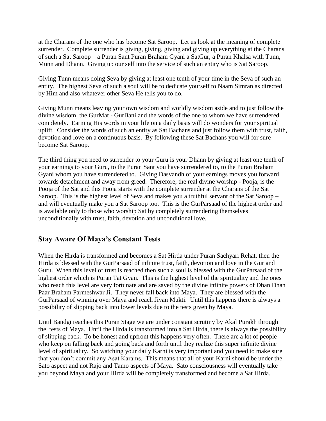at the Charans of the one who has become Sat Saroop. Let us look at the meaning of complete surrender. Complete surrender is giving, giving, giving and giving up everything at the Charans of such a Sat Saroop – a Puran Sant Puran Braham Gyani a SatGur, a Puran Khalsa with Tunn, Munn and Dhann. Giving up our self into the service of such an entity who is Sat Saroop.

Giving Tunn means doing Seva by giving at least one tenth of your time in the Seva of such an entity. The highest Seva of such a soul will be to dedicate yourself to Naam Simran as directed by Him and also whatever other Seva He tells you to do.

Giving Munn means leaving your own wisdom and worldly wisdom aside and to just follow the divine wisdom, the GurMat - GurBani and the words of the one to whom we have surrendered completely. Earning His words in your life on a daily basis will do wonders for your spiritual uplift. Consider the words of such an entity as Sat Bachans and just follow them with trust, faith, devotion and love on a continuous basis. By following these Sat Bachans you will for sure become Sat Saroop.

The third thing you need to surrender to your Guru is your Dhann by giving at least one tenth of your earnings to your Guru, to the Puran Sant you have surrendered to, to the Puran Braham Gyani whom you have surrendered to. Giving Dasvandh of your earnings moves you forward towards detachment and away from greed. Therefore, the real divine worship - Pooja, is the Pooja of the Sat and this Pooja starts with the complete surrender at the Charans of the Sat Saroop. This is the highest level of Seva and makes you a truthful servant of the Sat Saroop – and will eventually make you a Sat Saroop too. This is the GurParsaad of the highest order and is available only to those who worship Sat by completely surrendering themselves unconditionally with trust, faith, devotion and unconditional love.

# <span id="page-32-0"></span>**Stay Aware Of Maya's Constant Tests**

When the Hirda is transformed and becomes a Sat Hirda under Puran Sachyari Rehat, then the Hirda is blessed with the GurParsaad of infinite trust, faith, devotion and love in the Gur and Guru. When this level of trust is reached then such a soul is blessed with the GurParsaad of the highest order which is Puran Tat Gyan. This is the highest level of the spirituality and the ones who reach this level are very fortunate and are saved by the divine infinite powers of Dhan Dhan Paar Braham Parmeshwar Ji. They never fall back into Maya. They are blessed with the GurParsaad of winning over Maya and reach Jivan Mukti. Until this happens there is always a possibility of slipping back into lower levels due to the tests given by Maya.

Until Bandgi reaches this Puran Stage we are under constant scrutiny by Akal Purakh through the tests of Maya. Until the Hirda is transformed into a Sat Hirda, there is always the possibility of slipping back. To be honest and upfront this happens very often. There are a lot of people who keep on falling back and going back and forth until they realize this super infinite divine level of spirituality. So watching your daily Karni is very important and you need to make sure that you don't commit any Asat Karams. This means that all of your Karni should be under the Sato aspect and not Rajo and Tamo aspects of Maya. Sato consciousness will eventually take you beyond Maya and your Hirda will be completely transformed and become a Sat Hirda.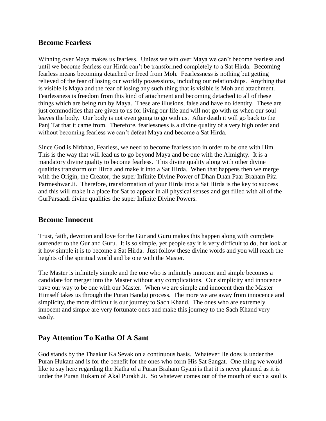## <span id="page-33-0"></span>**Become Fearless**

Winning over Maya makes us fearless. Unless we win over Maya we can't become fearless and until we become fearless our Hirda can't be transformed completely to a Sat Hirda. Becoming fearless means becoming detached or freed from Moh. Fearlessness is nothing but getting relieved of the fear of losing our worldly possessions, including our relationships. Anything that is visible is Maya and the fear of losing any such thing that is visible is Moh and attachment. Fearlessness is freedom from this kind of attachment and becoming detached to all of these things which are being run by Maya. These are illusions, false and have no identity. These are just commodities that are given to us for living our life and will not go with us when our soul leaves the body. Our body is not even going to go with us. After death it will go back to the Panj Tat that it came from. Therefore, fearlessness is a divine quality of a very high order and without becoming fearless we can't defeat Maya and become a Sat Hirda.

Since God is Nirbhao, Fearless, we need to become fearless too in order to be one with Him. This is the way that will lead us to go beyond Maya and be one with the Almighty. It is a mandatory divine quality to become fearless. This divine quality along with other divine qualities transform our Hirda and make it into a Sat Hirda. When that happens then we merge with the Origin, the Creator, the super Infinite Divine Power of Dhan Dhan Paar Braham Pita Parmeshwar Ji. Therefore, transformation of your Hirda into a Sat Hirda is the key to success and this will make it a place for Sat to appear in all physical senses and get filled with all of the GurParsaadi divine qualities the super Infinite Divine Powers.

#### <span id="page-33-1"></span>**Become Innocent**

Trust, faith, devotion and love for the Gur and Guru makes this happen along with complete surrender to the Gur and Guru. It is so simple, yet people say it is very difficult to do, but look at it how simple it is to become a Sat Hirda. Just follow these divine words and you will reach the heights of the spiritual world and be one with the Master.

The Master is infinitely simple and the one who is infinitely innocent and simple becomes a candidate for merger into the Master without any complications. Our simplicity and innocence pave our way to be one with our Master. When we are simple and innocent then the Master Himself takes us through the Puran Bandgi process. The more we are away from innocence and simplicity, the more difficult is our journey to Sach Khand. The ones who are extremely innocent and simple are very fortunate ones and make this journey to the Sach Khand very easily.

## <span id="page-33-2"></span>**Pay Attention To Katha Of A Sant**

God stands by the Thaakur Ka Sevak on a continuous basis. Whatever He does is under the Puran Hukam and is for the benefit for the ones who form His Sat Sangat. One thing we would like to say here regarding the Katha of a Puran Braham Gyani is that it is never planned as it is under the Puran Hukam of Akal Purakh Ji. So whatever comes out of the mouth of such a soul is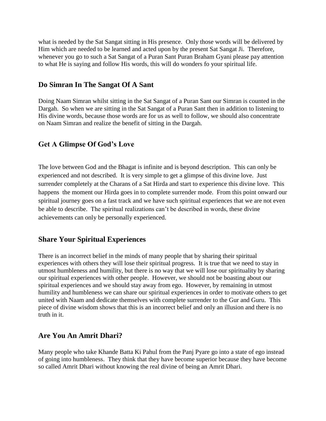what is needed by the Sat Sangat sitting in His presence. Only those words will be delivered by Him which are needed to be learned and acted upon by the present Sat Sangat Ji. Therefore, whenever you go to such a Sat Sangat of a Puran Sant Puran Braham Gyani please pay attention to what He is saying and follow His words, this will do wonders fo your spiritual life.

## <span id="page-34-0"></span>**Do Simran In The Sangat Of A Sant**

Doing Naam Simran whilst sitting in the Sat Sangat of a Puran Sant our Simran is counted in the Dargah. So when we are sitting in the Sat Sangat of a Puran Sant then in addition to listening to His divine words, because those words are for us as well to follow, we should also concentrate on Naam Simran and realize the benefit of sitting in the Dargah.

# <span id="page-34-1"></span>**Get A Glimpse Of God's Love**

The love between God and the Bhagat is infinite and is beyond description. This can only be experienced and not described. It is very simple to get a glimpse of this divine love. Just surrender completely at the Charans of a Sat Hirda and start to experience this divine love. This happens the moment our Hirda goes in to complete surrender mode. From this point onward our spiritual journey goes on a fast track and we have such spiritual experiences that we are not even be able to describe. The spiritual realizations can't be described in words, these divine achievements can only be personally experienced.

# <span id="page-34-2"></span>**Share Your Spiritual Experiences**

There is an incorrect belief in the minds of many people that by sharing their spiritual experiences with others they will lose their spiritual progress. It is true that we need to stay in utmost humbleness and humility, but there is no way that we will lose our spirituality by sharing our spiritual experiences with other people. However, we should not be boasting about our spiritual experiences and we should stay away from ego. However, by remaining in utmost humility and humbleness we can share our spiritual experiences in order to motivate others to get united with Naam and dedicate themselves with complete surrender to the Gur and Guru. This piece of divine wisdom shows that this is an incorrect belief and only an illusion and there is no truth in it.

# <span id="page-34-3"></span>**Are You An Amrit Dhari?**

Many people who take Khande Batta Ki Pahul from the Panj Pyare go into a state of ego instead of going into humbleness. They think that they have become superior because they have become so called Amrit Dhari without knowing the real divine of being an Amrit Dhari.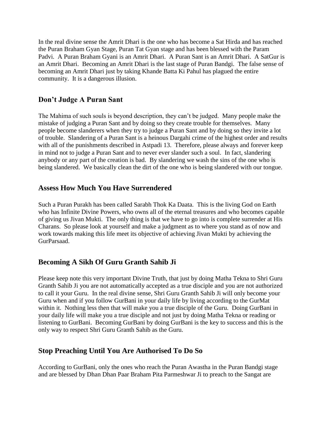In the real divine sense the Amrit Dhari is the one who has become a Sat Hirda and has reached the Puran Braham Gyan Stage, Puran Tat Gyan stage and has been blessed with the Param Padvi. A Puran Braham Gyani is an Amrit Dhari. A Puran Sant is an Amrit Dhari. A SatGur is an Amrit Dhari. Becoming an Amrit Dhari is the last stage of Puran Bandgi. The false sense of becoming an Amrit Dhari just by taking Khande Batta Ki Pahul has plagued the entire community. It is a dangerous illusion.

## <span id="page-35-0"></span>**Don't Judge A Puran Sant**

The Mahima of such souls is beyond description, they can't be judged. Many people make the mistake of judging a Puran Sant and by doing so they create trouble for themselves. Many people become slanderers when they try to judge a Puran Sant and by doing so they invite a lot of trouble. Slandering of a Puran Sant is a heinous Dargahi crime of the highest order and results with all of the punishments described in Astpadi 13. Therefore, please always and forever keep in mind not to judge a Puran Sant and to never ever slander such a soul. In fact, slandering anybody or any part of the creation is bad. By slandering we wash the sins of the one who is being slandered. We basically clean the dirt of the one who is being slandered with our tongue.

## <span id="page-35-1"></span>**Assess How Much You Have Surrendered**

Such a Puran Purakh has been called Sarabh Thok Ka Daata. This is the living God on Earth who has Infinite Divine Powers, who owns all of the eternal treasures and who becomes capable of giving us Jivan Mukti. The only thing is that we have to go into is complete surrender at His Charans. So please look at yourself and make a judgment as to where you stand as of now and work towards making this life meet its objective of achieving Jivan Mukti by achieving the GurParsaad.

# <span id="page-35-2"></span>**Becoming A Sikh Of Guru Granth Sahib Ji**

Please keep note this very important Divine Truth, that just by doing Matha Tekna to Shri Guru Granth Sahib Ji you are not automatically accepted as a true disciple and you are not authorized to call it your Guru. In the real divine sense, Shri Guru Granth Sahib Ji will only become your Guru when and if you follow GurBani in your daily life by living according to the GurMat within it. Nothing less then that will make you a true disciple of the Guru. Doing GurBani in your daily life will make you a true disciple and not just by doing Matha Tekna or reading or listening to GurBani. Becoming GurBani by doing GurBani is the key to success and this is the only way to respect Shri Guru Granth Sahib as the Guru.

# <span id="page-35-3"></span>**Stop Preaching Until You Are Authorised To Do So**

According to GurBani, only the ones who reach the Puran Awastha in the Puran Bandgi stage and are blessed by Dhan Dhan Paar Braham Pita Parmeshwar Ji to preach to the Sangat are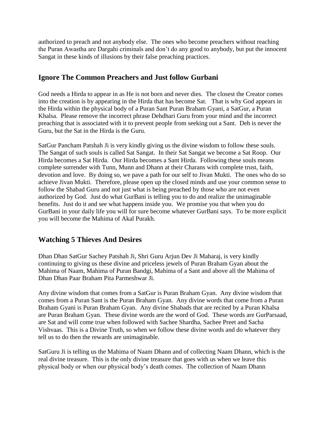authorized to preach and not anybody else. The ones who become preachers without reaching the Puran Awastha are Dargahi criminals and don't do any good to anybody, but put the innocent Sangat in these kinds of illusions by their false preaching practices.

# <span id="page-36-0"></span>**Ignore The Common Preachers and Just follow Gurbani**

God needs a Hirda to appear in as He is not born and never dies. The closest the Creator comes into the creation is by appearing in the Hirda that has become Sat. That is why God appears in the Hirda within the physical body of a Puran Sant Puran Braham Gyani, a SatGur, a Puran Khalsa. Please remove the incorrect phrase Dehdhari Guru from your mind and the incorrect preaching that is associated with it to prevent people from seeking out a Sant. Deh is never the Guru, but the Sat in the Hirda is the Guru.

SatGur Pancham Patshah Ji is very kindly giving us the divine wisdom to follow these souls. The Sangat of such souls is called Sat Sangat. In their Sat Sangat we become a Sat Roop. Our Hirda becomes a Sat Hirda. Our Hirda becomes a Sant Hirda. Following these souls means complete surrender with Tunn, Munn and Dhann at their Charans with complete trust, faith, devotion and love. By doing so, we pave a path for our self to Jivan Mukti. The ones who do so achieve Jivan Mukti. Therefore, please open up the closed minds and use your common sense to follow the Shabad Guru and not just what is being preached by those who are not even authorized by God. Just do what GurBani is telling you to do and realize the unimaginable benefits. Just do it and see what happens inside you. We promise you that when you do GurBani in your daily life you will for sure become whatever GurBani says. To be more explicit you will become the Mahima of Akal Purakh.

# <span id="page-36-1"></span>**Watching 5 Thieves And Desires**

Dhan Dhan SatGur Sachey Patshah Ji, Shri Guru Arjun Dev Ji Maharaj, is very kindly continuing to giving us these divine and priceless jewels of Puran Braham Gyan about the Mahima of Naam, Mahima of Puran Bandgi, Mahima of a Sant and above all the Mahima of Dhan Dhan Paar Braham Pita Parmeshwar Ji.

Any divine wisdom that comes from a SatGur is Puran Braham Gyan. Any divine wisdom that comes from a Puran Sant is the Puran Braham Gyan. Any divine words that come from a Puran Braham Gyani is Puran Braham Gyan. Any divine Shabads that are recited by a Puran Khalsa are Puran Braham Gyan. These divine words are the word of God. These words are GurParsaad, are Sat and will come true when followed with Sachee Shardha, Sachee Preet and Sacha Vishvaas. This is a Divine Truth, so when we follow these divine words and do whatever they tell us to do then the rewards are unimaginable.

SatGuru Ji is telling us the Mahima of Naam Dhann and of collecting Naam Dhann, which is the real divine treasure. This is the only divine treasure that goes with us when we leave this physical body or when our physical body's death comes. The collection of Naam Dhann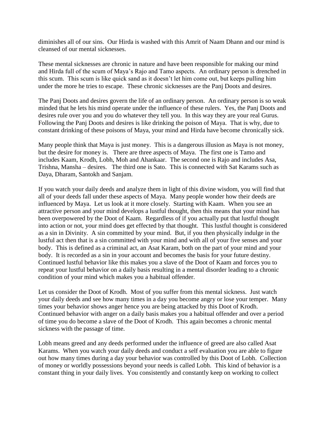diminishes all of our sins. Our Hirda is washed with this Amrit of Naam Dhann and our mind is cleansed of our mental sicknesses.

These mental sicknesses are chronic in nature and have been responsible for making our mind and Hirda full of the scum of Maya's Rajo and Tamo aspects. An ordinary person is drenched in this scum. This scum is like quick sand as it doesn't let him come out, but keeps pulling him under the more he tries to escape. These chronic sicknesses are the Panj Doots and desires.

The Panj Doots and desires govern the life of an ordinary person. An ordinary person is so weak minded that he lets his mind operate under the influence of these rulers. Yes, the Panj Doots and desires rule over you and you do whatever they tell you. In this way they are your real Gurus. Following the Panj Doots and desires is like drinking the poison of Maya. That is why, due to constant drinking of these poisons of Maya, your mind and Hirda have become chronically sick.

Many people think that Maya is just money. This is a dangerous illusion as Maya is not money, but the desire for money is. There are three aspects of Maya. The first one is Tamo and includes Kaam, Krodh, Lobh, Moh and Ahankaar. The second one is Rajo and includes Asa, Trishna, Mansha – desires. The third one is Sato. This is connected with Sat Karams such as Daya, Dharam, Santokh and Sanjam.

If you watch your daily deeds and analyze them in light of this divine wisdom, you will find that all of your deeds fall under these aspects of Maya. Many people wonder how their deeds are influenced by Maya. Let us look at it more closely. Starting with Kaam. When you see an attractive person and your mind develops a lustful thought, then this means that your mind has been overpowered by the Doot of Kaam. Regardless of if you actually put that lustful thought into action or not, your mind does get effected by that thought. This lustful thought is considered as a sin in Divinity. A sin committed by your mind. But, if you then physically indulge in the lustful act then that is a sin committed with your mind and with all of your five senses and your body. This is defined as a criminal act, an Asat Karam, both on the part of your mind and your body. It is recorded as a sin in your account and becomes the basis for your future destiny. Continued lustful behavior like this makes you a slave of the Doot of Kaam and forces you to repeat your lustful behavior on a daily basis resulting in a mental disorder leading to a chronic condition of your mind which makes you a habitual offender.

Let us consider the Doot of Krodh. Most of you suffer from this mental sickness. Just watch your daily deeds and see how many times in a day you become angry or lose your temper. Many times your behavior shows anger hence you are being attacked by this Doot of Krodh. Continued behavior with anger on a daily basis makes you a habitual offender and over a period of time you do become a slave of the Doot of Krodh. This again becomes a chronic mental sickness with the passage of time.

Lobh means greed and any deeds performed under the influence of greed are also called Asat Karams. When you watch your daily deeds and conduct a self evaluation you are able to figure out how many times during a day your behavior was controlled by this Doot of Lobh. Collection of money or worldly possessions beyond your needs is called Lobh. This kind of behavior is a constant thing in your daily lives. You consistently and constantly keep on working to collect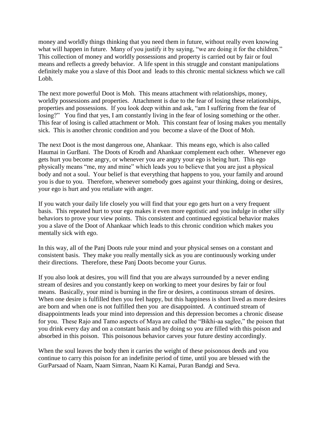money and worldly things thinking that you need them in future, without really even knowing what will happen in future. Many of you justify it by saying, "we are doing it for the children." This collection of money and worldly possessions and property is carried out by fair or foul means and reflects a greedy behavior. A life spent in this struggle and constant manipulations definitely make you a slave of this Doot and leads to this chronic mental sickness which we call Lobh.

The next more powerful Doot is Moh. This means attachment with relationships, money, worldly possessions and properties. Attachment is due to the fear of losing these relationships, properties and possessions. If you look deep within and ask, "am I suffering from the fear of losing?" You find that yes, I am constantly living in the fear of losing something or the other. This fear of losing is called attachment or Moh. This constant fear of losing makes you mentally sick. This is another chronic condition and you become a slave of the Doot of Moh.

The next Doot is the most dangerous one, Ahankaar. This means ego, which is also called Haumai in GurBani. The Doots of Krodh and Ahankaar complement each other. Whenever ego gets hurt you become angry, or whenever you are angry your ego is being hurt. This ego physically means "me, my and mine" which leads you to believe that you are just a physical body and not a soul. Your belief is that everything that happens to you, your family and around you is due to you. Therefore, whenever somebody goes against your thinking, doing or desires, your ego is hurt and you retaliate with anger.

If you watch your daily life closely you will find that your ego gets hurt on a very frequent basis. This repeated hurt to your ego makes it even more egotistic and you indulge in other silly behaviors to prove your view points. This consistent and continued egoistical behavior makes you a slave of the Doot of Ahankaar which leads to this chronic condition which makes you mentally sick with ego.

In this way, all of the Panj Doots rule your mind and your physical senses on a constant and consistent basis. They make you really mentally sick as you are continuously working under their directions. Therefore, these Panj Doots become your Gurus.

If you also look at desires, you will find that you are always surrounded by a never ending stream of desires and you constantly keep on working to meet your desires by fair or foul means. Basically, your mind is burning in the fire or desires, a continuous stream of desires. When one desire is fulfilled then you feel happy, but this happiness is short lived as more desires are born and when one is not fulfilled then you are disappointed. A continued stream of disappointments leads your mind into depression and this depression becomes a chronic disease for you. These Rajo and Tamo aspects of Maya are called the "Bikhi-aa saglee," the poison that you drink every day and on a constant basis and by doing so you are filled with this poison and absorbed in this poison. This poisonous behavior carves your future destiny accordingly.

When the soul leaves the body then it carries the weight of these poisonous deeds and you continue to carry this poison for an indefinite period of time, until you are blessed with the GurParsaad of Naam, Naam Simran, Naam Ki Kamai, Puran Bandgi and Seva.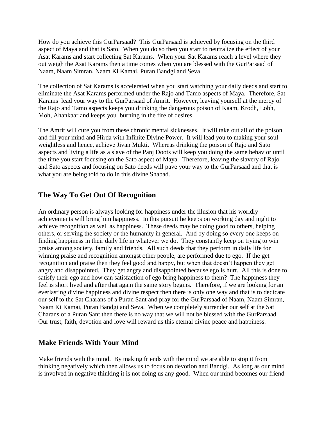How do you achieve this GurParsaad? This GurParsaad is achieved by focusing on the third aspect of Maya and that is Sato. When you do so then you start to neutralize the effect of your Asat Karams and start collecting Sat Karams. When your Sat Karams reach a level where they out weigh the Asat Karams then a time comes when you are blessed with the GurParsaad of Naam, Naam Simran, Naam Ki Kamai, Puran Bandgi and Seva.

The collection of Sat Karams is accelerated when you start watching your daily deeds and start to eliminate the Asat Karams performed under the Rajo and Tamo aspects of Maya. Therefore, Sat Karams lead your way to the GurParsaad of Amrit. However, leaving yourself at the mercy of the Rajo and Tamo aspects keeps you drinking the dangerous poison of Kaam, Krodh, Lobh, Moh, Ahankaar and keeps you burning in the fire of desires.

The Amrit will cure you from these chronic mental sicknesses. It will take out all of the poison and fill your mind and Hirda with Infinite Divine Power. It will lead you to making your soul weightless and hence, achieve Jivan Mukti. Whereas drinking the poison of Rajo and Sato aspects and living a life as a slave of the Panj Doots will keep you doing the same behavior until the time you start focusing on the Sato aspect of Maya. Therefore, leaving the slavery of Rajo and Sato aspects and focusing on Sato deeds will pave your way to the GurParsaad and that is what you are being told to do in this divine Shabad.

# <span id="page-39-0"></span>**The Way To Get Out Of Recognition**

An ordinary person is always looking for happiness under the illusion that his worldly achievements will bring him happiness. In this pursuit he keeps on working day and night to achieve recognition as well as happiness. These deeds may be doing good to others, helping others, or serving the society or the humanity in general. And by doing so every one keeps on finding happiness in their daily life in whatever we do. They constantly keep on trying to win praise among society, family and friends. All such deeds that they perform in daily life for winning praise and recognition amongst other people, are performed due to ego. If the get recognition and praise then they feel good and happy, but when that doesn't happen they get angry and disappointed. They get angry and disappointed because ego is hurt. All this is done to satisfy their ego and how can satisfaction of ego bring happiness to them? The happiness they feel is short lived and after that again the same story begins. Therefore, if we are looking for an everlasting divine happiness and divine respect then there is only one way and that is to dedicate our self to the Sat Charans of a Puran Sant and pray for the GurParsaad of Naam, Naam Simran, Naam Ki Kamai, Puran Bandgi and Seva. When we completely surrender our self at the Sat Charans of a Puran Sant then there is no way that we will not be blessed with the GurParsaad. Our trust, faith, devotion and love will reward us this eternal divine peace and happiness.

# <span id="page-39-1"></span>**Make Friends With Your Mind**

Make friends with the mind. By making friends with the mind we are able to stop it from thinking negatively which then allows us to focus on devotion and Bandgi. As long as our mind is involved in negative thinking it is not doing us any good. When our mind becomes our friend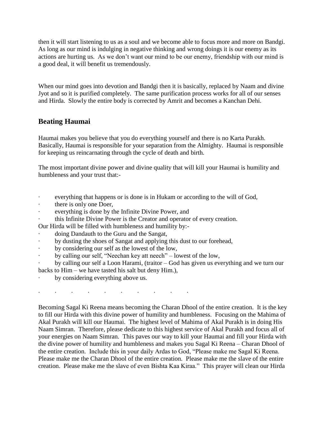then it will start listening to us as a soul and we become able to focus more and more on Bandgi. As long as our mind is indulging in negative thinking and wrong doings it is our enemy as its actions are hurting us. As we don't want our mind to be our enemy, friendship with our mind is a good deal, it will benefit us tremendously.

When our mind goes into devotion and Bandgi then it is basically, replaced by Naam and divine Jyot and so it is purified completely. The same purification process works for all of our senses and Hirda. Slowly the entire body is corrected by Amrit and becomes a Kanchan Dehi.

# <span id="page-40-0"></span>**Beating Haumai**

Haumai makes you believe that you do everything yourself and there is no Karta Purakh. Basically, Haumai is responsible for your separation from the Almighty. Haumai is responsible for keeping us reincarnating through the cycle of death and birth.

The most important divine power and divine quality that will kill your Haumai is humility and humbleness and your trust that:-

- everything that happens or is done is in Hukam or according to the will of God,
- there is only one Doer,
- · everything is done by the Infinite Divine Power, and
- this Infinite Divine Power is the Creator and operator of every creation.
- Our Hirda will be filled with humbleness and humility by:-
- doing Dandauth to the Guru and the Sangat,
- by dusting the shoes of Sangat and applying this dust to our forehead,
- by considering our self as the lowest of the low,
- by calling our self, "Neechan key att neech" lowest of the low,

· by calling our self a Loon Harami, (traitor – God has given us everything and we turn our backs to Him – we have tasted his salt but deny Him.),

by considering everything above us.

· · · · · · · · · ·

Becoming Sagal Ki Reena means becoming the Charan Dhool of the entire creation. It is the key to fill our Hirda with this divine power of humility and humbleness. Focusing on the Mahima of Akal Purakh will kill our Haumai. The highest level of Mahima of Akal Purakh is in doing His Naam Simran. Therefore, please dedicate to this highest service of Akal Purakh and focus all of your energies on Naam Simran. This paves our way to kill your Haumai and fill your Hirda with the divine power of humility and humbleness and makes you Sagal Ki Reena – Charan Dhool of the entire creation. Include this in your daily Ardas to God, "Please make me Sagal Ki Reena. Please make me the Charan Dhool of the entire creation. Please make me the slave of the entire creation. Please make me the slave of even Bishta Kaa Kiraa." This prayer will clean our Hirda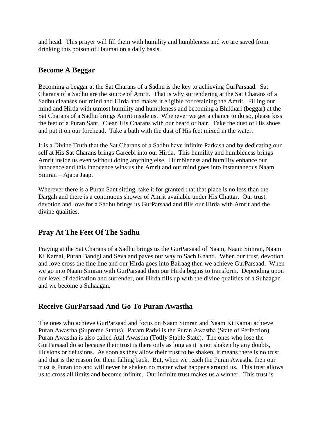and head. This prayer will fill them with humility and humbleness and we are saved from drinking this poison of Haumai on a daily basis.

## <span id="page-41-0"></span>**Become A Beggar**

Becoming a beggar at the Sat Charans of a Sadhu is the key to achieving GurParsaad. Sat Charans of a Sadhu are the source of Amrit. That is why surrendering at the Sat Charans of a Sadhu cleanses our mind and Hirda and makes it eligible for retaining the Amrit. Filling our mind and Hirda with utmost humility and humbleness and becoming a Bhikhari (beggar) at the Sat Charans of a Sadhu brings Amrit inside us. Whenever we get a chance to do so, please kiss the feet of a Puran Sant. Clean His Charans with our beard or hair. Take the dust of His shoes and put it on our forehead. Take a bath with the dust of His feet mixed in the water.

It is a Divine Truth that the Sat Charans of a Sadhu have infinite Parkash and by dedicating our self at His Sat Charans brings Gareebi into our Hirda. This humility and humbleness brings Amrit inside us even without doing anything else. Humbleness and humility enhance our innocence and this innocence wins us the Amrit and our mind goes into instantaneous Naam Simran – Ajapa Jaap.

Wherever there is a Puran Sant sitting, take it for granted that that place is no less than the Dargah and there is a continuous shower of Amrit available under His Chattar. Our trust, devotion and love for a Sadhu brings us GurParsaad and fills our Hirda with Amrit and the divine qualities.

# <span id="page-41-1"></span>**Pray At The Feet Of The Sadhu**

Praying at the Sat Charans of a Sadhu brings us the GurParsaad of Naam, Naam Simran, Naam Ki Kamai, Puran Bandgi and Seva and paves our way to Sach Khand. When our trust, devotion and love cross the fine line and our Hirda goes into Bairaag then we achieve GurParsaad. When we go into Naam Simran with GurParsaad then our Hirda begins to transform. Depending upon our level of dedication and surrender, our Hirda fills up with the divine qualities of a Suhaagan and we become a Suhaagan.

# <span id="page-41-2"></span>**Receive GurParsaad And Go To Puran Awastha**

The ones who achieve GurParsaad and focus on Naam Simran and Naam Ki Kamai achieve Puran Awastha (Supreme Status). Param Padvi is the Puran Awastha (State of Perfection). Puran Awastha is also called Atal Awastha (Totlly Stable State). The ones who lose the GurParsaad do so because their trust is there only as long as it is not shaken by any doubts, illusions or delusions. As soon as they allow their trust to be shaken, it means there is no trust and that is the reason for them falling back. But, when we reach the Puran Awastha then our trust is Puran too and will never be shaken no matter what happens around us. This trust allows us to cross all limits and become infinite. Our infinite trust makes us a winner. This trust is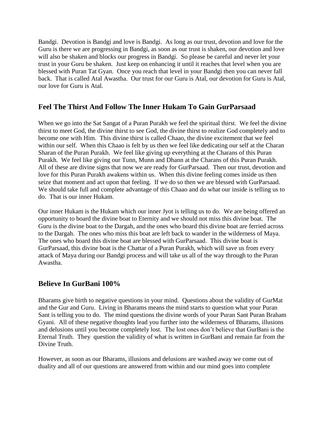Bandgi. Devotion is Bandgi and love is Bandgi. As long as our trust, devotion and love for the Guru is there we are progressing in Bandgi, as soon as our trust is shaken, our devotion and love will also be shaken and blocks our progress in Bandgi. So please be careful and never let your trust in your Guru be shaken. Just keep on enhancing it until it reaches that level when you are blessed with Puran Tat Gyan. Once you reach that level in your Bandgi then you can never fall back. That is called Atal Awastha. Our trust for our Guru is Atal, our devotion for Guru is Atal, our love for Guru is Atal.

## <span id="page-42-0"></span>**Feel The Thirst And Follow The Inner Hukam To Gain GurParsaad**

When we go into the Sat Sangat of a Puran Purakh we feel the spiritual thirst. We feel the divine thirst to meet God, the divine thirst to see God, the divine thirst to realize God completely and to become one with Him. This divine thirst is called Chaao, the divine excitement that we feel within our self. When this Chaao is felt by us then we feel like dedicating our self at the Charan Sharan of the Puran Purakh. We feel like giving up everything at the Charans of this Puran Purakh. We feel like giving our Tunn, Munn and Dhann at the Charans of this Puran Purakh. All of these are divine signs that now we are ready for GurParsaad. Then our trust, devotion and love for this Puran Purakh awakens within us. When this divine feeling comes inside us then seize that moment and act upon that feeling. If we do so then we are blessed with GurParsaad. We should take full and complete advantage of this Chaao and do what our inside is telling us to do. That is our inner Hukam.

Our inner Hukam is the Hukam which our inner Jyot is telling us to do. We are being offered an opportunity to board the divine boat to Eternity and we should not miss this divine boat. The Guru is the divine boat to the Dargah, and the ones who board this divine boat are ferried across to the Dargah. The ones who miss this boat are left back to wander in the wilderness of Maya. The ones who board this divine boat are blessed with GurParsaad. This divine boat is GurParsaad, this divine boat is the Chattar of a Puran Purakh, which will save us from every attack of Maya during our Bandgi process and will take us all of the way through to the Puran Awastha.

# <span id="page-42-1"></span>**Believe In GurBani 100%**

Bharams give birth to negative questions in your mind. Questions about the validity of GurMat and the Gur and Guru. Living in Bharams means the mind starts to question what your Puran Sant is telling you to do. The mind questions the divine words of your Puran Sant Puran Braham Gyani. All of these negative thoughts lead you further into the wilderness of Bharams, illusions and delusions until you become completely lost. The lost ones don't believe that GurBani is the Eternal Truth. They question the validity of what is written in GurBani and remain far from the Divine Truth.

However, as soon as our Bharams, illusions and delusions are washed away we come out of duality and all of our questions are answered from within and our mind goes into complete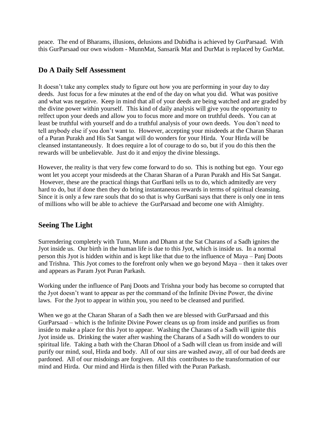peace. The end of Bharams, illusions, delusions and Dubidha is achieved by GurParsaad. With this GurParsaad our own wisdom - MunnMat, Sansarik Mat and DurMat is replaced by GurMat.

# <span id="page-43-0"></span>**Do A Daily Self Assessment**

It doesn't take any complex study to figure out how you are performing in your day to day deeds. Just focus for a few minutes at the end of the day on what you did. What was positive and what was negative. Keep in mind that all of your deeds are being watched and are graded by the divine power within yourself. This kind of daily analysis will give you the opportunity to relfect upon your deeds and allow you to focus more and more on truthful deeds. You can at least be truthful with yourself and do a truthful analysis of your own deeds. You don't need to tell anybody else if you don't want to. However, accepting your misdeeds at the Charan Sharan of a Puran Purakh and His Sat Sangat will do wonders for your Hirda. Your Hirda will be cleansed instantaneously. It does require a lot of courage to do so, but if you do this then the rewards will be unbelievable. Just do it and enjoy the divine blessings.

However, the reality is that very few come forward to do so. This is nothing but ego. Your ego wont let you accept your misdeeds at the Charan Sharan of a Puran Purakh and His Sat Sangat. However, these are the practical things that GurBani tells us to do, which admitedly are very hard to do, but if done then they do bring instantaneous rewards in terms of spiritual cleansing. Since it is only a few rare souls that do so that is why GurBani says that there is only one in tens of millions who will be able to achieve the GurParsaad and become one with Almighty.

# <span id="page-43-1"></span>**Seeing The Light**

Surrendering completely with Tunn, Munn and Dhann at the Sat Charans of a Sadh ignites the Jyot inside us. Our birth in the human life is due to this Jyot, which is inside us. In a normal person this Jyot is hidden within and is kept like that due to the influence of Maya – Panj Doots and Trishna. This Jyot comes to the forefront only when we go beyond Maya – then it takes over and appears as Param Jyot Puran Parkash.

Working under the influence of Panj Doots and Trishna your body has become so corrupted that the Jyot doesn't want to appear as per the command of the Infinite Divine Power, the divine laws. For the Jyot to appear in within you, you need to be cleansed and purified.

When we go at the Charan Sharan of a Sadh then we are blessed with GurParsaad and this GurParsaad – which is the Infinite Divine Power cleans us up from inside and purifies us from inside to make a place for this Jyot to appear. Washing the Charans of a Sadh will ignite this Jyot inside us. Drinking the water after washing the Charans of a Sadh will do wonders to our spiritual life. Taking a bath with the Charan Dhool of a Sadh will clean us from inside and will purify our mind, soul, Hirda and body. All of our sins are washed away, all of our bad deeds are pardoned. All of our misdoings are forgiven. All this contributes to the transformation of our mind and Hirda. Our mind and Hirda is then filled with the Puran Parkash.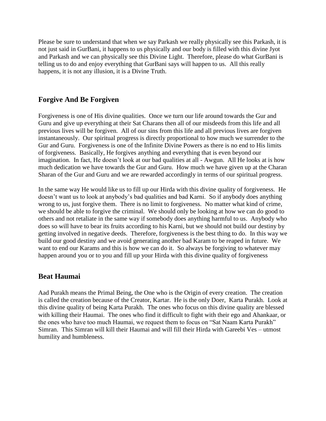Please be sure to understand that when we say Parkash we really physically see this Parkash, it is not just said in GurBani, it happens to us physically and our body is filled with this divine Jyot and Parkash and we can physically see this Divine Light. Therefore, please do what GurBani is telling us to do and enjoy everything that GurBani says will happen to us. All this really happens, it is not any illusion, it is a Divine Truth.

# <span id="page-44-0"></span>**Forgive And Be Forgiven**

Forgiveness is one of His divine qualities. Once we turn our life around towards the Gur and Guru and give up everything at their Sat Charans then all of our misdeeds from this life and all previous lives will be forgiven. All of our sins from this life and all previous lives are forgiven instantaneously. Our spiritual progress is directly proportional to how much we surrender to the Gur and Guru. Forgiveness is one of the Infinite Divine Powers as there is no end to His limits of forgiveness. Basically, He forgives anything and everything that is even beyond our imagination. In fact, He doesn't look at our bad qualities at all - Awgun. All He looks at is how much dedication we have towards the Gur and Guru. How much we have given up at the Charan Sharan of the Gur and Guru and we are rewarded accordingly in terms of our spiritual progress.

In the same way He would like us to fill up our Hirda with this divine quality of forgiveness. He doesn't want us to look at anybody's bad qualities and bad Karni. So if anybody does anything wrong to us, just forgive them. There is no limit to forgiveness. No matter what kind of crime, we should be able to forgive the criminal. We should only be looking at how we can do good to others and not retaliate in the same way if somebody does anything harmful to us. Anybody who does so will have to bear its fruits according to his Karni, but we should not build our destiny by getting involved in negative deeds. Therefore, forgiveness is the best thing to do. In this way we build our good destiny and we avoid generating another bad Karam to be reaped in future. We want to end our Karams and this is how we can do it. So always be forgiving to whatever may happen around you or to you and fill up your Hirda with this divine quality of forgiveness

# <span id="page-44-1"></span>**Beat Haumai**

Aad Purakh means the Primal Being, the One who is the Origin of every creation. The creation is called the creation because of the Creator, Kartar. He is the only Doer, Karta Purakh. Look at this divine quality of being Karta Purakh. The ones who focus on this divine quality are blessed with killing their Haumai. The ones who find it difficult to fight with their ego and Ahankaar, or the ones who have too much Haumai, we request them to focus on "Sat Naam Karta Purakh" Simran. This Simran will kill their Haumai and will fill their Hirda with Gareebi Ves – utmost humility and humbleness.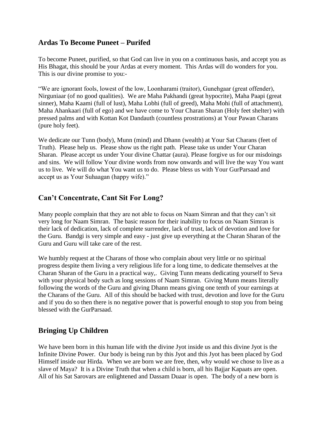## <span id="page-45-0"></span>**Ardas To Become Puneet – Purifed**

To become Puneet, purified, so that God can live in you on a continuous basis, and accept you as His Bhagat, this should be your Ardas at every moment. This Ardas will do wonders for you. This is our divine promise to you:-

"We are ignorant fools, lowest of the low, Loonharami (traitor), Gunehgaar (great offender), Nirguniaar (of no good qualities). We are Maha Pakhandi (great hypocrite), Maha Paapi (great sinner), Maha Kaami (full of lust), Maha Lobhi (full of greed), Maha Mohi (full of attachment), Maha Ahankaari (full of ego) and we have come to Your Charan Sharan (Holy feet shelter) with pressed palms and with Kottan Kot Dandauth (countless prostrations) at Your Pawan Charans (pure holy feet).

We dedicate our Tunn (body), Munn (mind) and Dhann (wealth) at Your Sat Charans (feet of Truth). Please help us. Please show us the right path. Please take us under Your Charan Sharan. Please accept us under Your divine Chattar (aura). Please forgive us for our misdoings and sins. We will follow Your divine words from now onwards and will live the way You want us to live. We will do what You want us to do. Please bless us with Your GurParsaad and accept us as Your Suhaagan (happy wife)."

## <span id="page-45-1"></span>**Can't Concentrate, Cant Sit For Long?**

Many people complain that they are not able to focus on Naam Simran and that they can't sit very long for Naam Simran. The basic reason for their inability to focus on Naam Simran is their lack of dedication, lack of complete surrender, lack of trust, lack of devotion and love for the Guru. Bandgi is very simple and easy - just give up everything at the Charan Sharan of the Guru and Guru will take care of the rest.

We humbly request at the Charans of those who complain about very little or no spiritual progress despite them living a very religious life for a long time, to dedicate themselves at the Charan Sharan of the Guru in a practical way,. Giving Tunn means dedicating yourself to Seva with your physical body such as long sessions of Naam Simran. Giving Munn means literally following the words of the Guru and giving Dhann means giving one tenth of your earnings at the Charans of the Guru. All of this should be backed with trust, devotion and love for the Guru and if you do so then there is no negative power that is powerful enough to stop you from being blessed with the GurParsaad.

# <span id="page-45-2"></span>**Bringing Up Children**

We have been born in this human life with the divine Jyot inside us and this divine Jyot is the Infinite Divine Power. Our body is being run by this Jyot and this Jyot has been placed by God Himself inside our Hirda. When we are born we are free, then, why would we chose to live as a slave of Maya? It is a Divine Truth that when a child is born, all his Bajjar Kapaats are open. All of his Sat Sarovars are enlightened and Dassam Duaar is open. The body of a new born is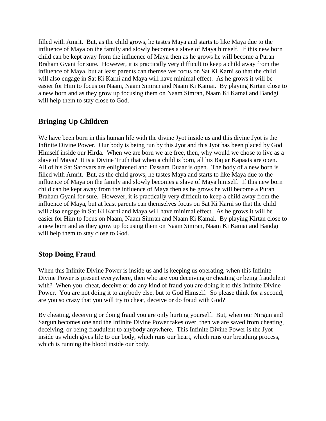filled with Amrit. But, as the child grows, he tastes Maya and starts to like Maya due to the influence of Maya on the family and slowly becomes a slave of Maya himself. If this new born child can be kept away from the influence of Maya then as he grows he will become a Puran Braham Gyani for sure. However, it is practically very difficult to keep a child away from the influence of Maya, but at least parents can themselves focus on Sat Ki Karni so that the child will also engage in Sat Ki Karni and Maya will have minimal effect. As he grows it will be easier for Him to focus on Naam, Naam Simran and Naam Ki Kamai. By playing Kirtan close to a new born and as they grow up focusing them on Naam Simran, Naam Ki Kamai and Bandgi will help them to stay close to God.

# <span id="page-46-0"></span>**Bringing Up Children**

We have been born in this human life with the divine Jyot inside us and this divine Jyot is the Infinite Divine Power. Our body is being run by this Jyot and this Jyot has been placed by God Himself inside our Hirda. When we are born we are free, then, why would we chose to live as a slave of Maya? It is a Divine Truth that when a child is born, all his Bajjar Kapaats are open. All of his Sat Sarovars are enlightened and Dassam Duaar is open. The body of a new born is filled with Amrit. But, as the child grows, he tastes Maya and starts to like Maya due to the influence of Maya on the family and slowly becomes a slave of Maya himself. If this new born child can be kept away from the influence of Maya then as he grows he will become a Puran Braham Gyani for sure. However, it is practically very difficult to keep a child away from the influence of Maya, but at least parents can themselves focus on Sat Ki Karni so that the child will also engage in Sat Ki Karni and Maya will have minimal effect. As he grows it will be easier for Him to focus on Naam, Naam Simran and Naam Ki Kamai. By playing Kirtan close to a new born and as they grow up focusing them on Naam Simran, Naam Ki Kamai and Bandgi will help them to stay close to God.

# <span id="page-46-1"></span>**Stop Doing Fraud**

When this Infinite Divine Power is inside us and is keeping us operating, when this Infinite Divine Power is present everywhere, then who are you deceiving or cheating or being fraudulent with? When you cheat, deceive or do any kind of fraud you are doing it to this Infinite Divine Power. You are not doing it to anybody else, but to God Himself. So please think for a second, are you so crazy that you will try to cheat, deceive or do fraud with God?

By cheating, deceiving or doing fraud you are only hurting yourself. But, when our Nirgun and Sargun becomes one and the Infinite Divine Power takes over, then we are saved from cheating, deceiving, or being fraudulent to anybody anywhere. This Infinite Divine Power is the Jyot inside us which gives life to our body, which runs our heart, which runs our breathing process, which is running the blood inside our body.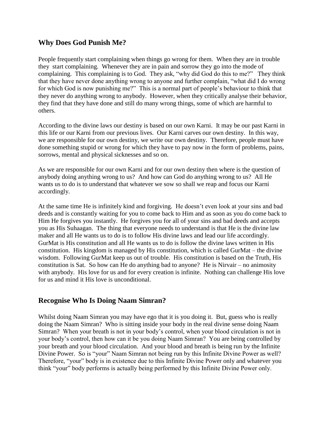# <span id="page-47-0"></span>**Why Does God Punish Me?**

People frequently start complaining when things go wrong for them. When they are in trouble they start complaining. Whenever they are in pain and sorrow they go into the mode of complaining. This complaining is to God. They ask, "why did God do this to me?" They think that they have never done anything wrong to anyone and further complain, "what did I do wrong for which God is now punishing me?" This is a normal part of people's behaviour to think that they never do anything wrong to anybody. However, when they critically analyse their behavior, they find that they have done and still do many wrong things, some of which are harmful to others.

According to the divine laws our destiny is based on our own Karni. It may be our past Karni in this life or our Karni from our previous lives. Our Karni carves our own destiny. In this way, we are responsible for our own destiny, we write our own destiny. Therefore, people must have done something stupid or wrong for which they have to pay now in the form of problems, pains, sorrows, mental and physical sicknesses and so on.

As we are responsible for our own Karni and for our own destiny then where is the question of anybody doing anything wrong to us? And how can God do anything wrong to us? All He wants us to do is to understand that whatever we sow so shall we reap and focus our Karni accordingly.

At the same time He is infinitely kind and forgiving. He doesn't even look at your sins and bad deeds and is constantly waiting for you to come back to Him and as soon as you do come back to Him He forgives you instantly. He forgives you for all of your sins and bad deeds and accepts you as His Suhaagan. The thing that everyone needs to understand is that He is the divine law maker and all He wants us to do is to follow His divine laws and lead our life accordingly. GurMat is His constitution and all He wants us to do is follow the divine laws written in His constitution. His kingdom is managed by His constitution, which is called GurMat – the divine wisdom. Following GurMat keep us out of trouble. His constitution is based on the Truth, His constitution is Sat. So how can He do anything bad to anyone? He is Nirvair – no animosity with anybody. His love for us and for every creation is infinite. Nothing can challenge His love for us and mind it His love is unconditional.

## <span id="page-47-1"></span>**Recognise Who Is Doing Naam Simran?**

Whilst doing Naam Simran you may have ego that it is you doing it. But, guess who is really doing the Naam Simran? Who is sitting inside your body in the real divine sense doing Naam Simran? When your breath is not in your body's control, when your blood circulation is not in your body's control, then how can it be you doing Naam Simran? You are being controlled by your breath and your blood circulation. And your blood and breath is being run by the Infinite Divine Power. So is "your" Naam Simran not being run by this Infinite Divine Power as well? Therefore, "your" body is in existence due to this Infinite Divine Power only and whatever you think "your" body performs is actually being performed by this Infinite Divine Power only.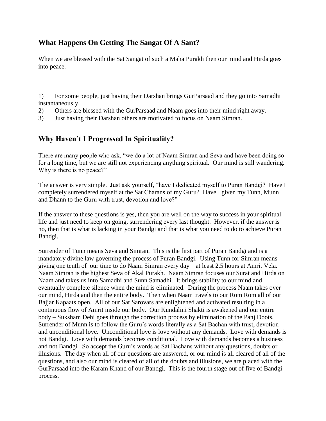# <span id="page-48-0"></span>**What Happens On Getting The Sangat Of A Sant?**

When we are blessed with the Sat Sangat of such a Maha Purakh then our mind and Hirda goes into peace.

1) For some people, just having their Darshan brings GurParsaad and they go into Samadhi instantaneously.

- 2) Others are blessed with the GurParsaad and Naam goes into their mind right away.
- <span id="page-48-1"></span>3) Just having their Darshan others are motivated to focus on Naam Simran.

## **Why Haven't I Progressed In Spirituality?**

There are many people who ask, "we do a lot of Naam Simran and Seva and have been doing so for a long time, but we are still not experiencing anything spiritual. Our mind is still wandering. Why is there is no peace?"

The answer is very simple. Just ask yourself, "have I dedicated myself to Puran Bandgi? Have I completely surrendered myself at the Sat Charans of my Guru? Have I given my Tunn, Munn and Dhann to the Guru with trust, devotion and love?"

If the answer to these questions is yes, then you are well on the way to success in your spiritual life and just need to keep on going, surrendering every last thought. However, if the answer is no, then that is what is lacking in your Bandgi and that is what you need to do to achieve Puran Bandgi.

Surrender of Tunn means Seva and Simran. This is the first part of Puran Bandgi and is a mandatory divine law governing the process of Puran Bandgi. Using Tunn for Simran means giving one tenth of our time to do Naam Simran every day – at least 2.5 hours at Amrit Vela. Naam Simran is the highest Seva of Akal Purakh. Naam Simran focuses our Surat and Hirda on Naam and takes us into Samadhi and Sunn Samadhi. It brings stability to our mind and eventually complete silence when the mind is eliminated. During the process Naam takes over our mind, Hirda and then the entire body. Then when Naam travels to our Rom Rom all of our Bajjar Kapaats open. All of our Sat Sarovars are enlightened and activated resulting in a continuous flow of Amrit inside our body. Our Kundalini Shakti is awakened and our entire body – Suksham Dehi goes through the correction process by elimination of the Panj Doots. Surrender of Munn is to follow the Guru's words literally as a Sat Bachan with trust, devotion and unconditional love. Unconditional love is love without any demands. Love with demands is not Bandgi. Love with demands becomes conditional. Love with demands becomes a business and not Bandgi. So accept the Guru's words as Sat Bachans without any questions, doubts or illusions. The day when all of our questions are answered, or our mind is all cleared of all of the questions, and also our mind is cleared of all of the doubts and illusions, we are placed with the GurParsaad into the Karam Khand of our Bandgi. This is the fourth stage out of five of Bandgi process.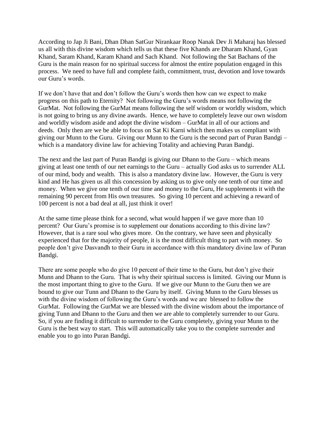According to Jap Ji Bani, Dhan Dhan SatGur Nirankaar Roop Nanak Dev Ji Maharaj has blessed us all with this divine wisdom which tells us that these five Khands are Dharam Khand, Gyan Khand, Saram Khand, Karam Khand and Sach Khand. Not following the Sat Bachans of the Guru is the main reason for no spiritual success for almost the entire population engaged in this process. We need to have full and complete faith, commitment, trust, devotion and love towards our Guru's words.

If we don't have that and don't follow the Guru's words then how can we expect to make progress on this path to Eternity? Not following the Guru's words means not following the GurMat. Not following the GurMat means following the self wisdom or worldly wisdom, which is not going to bring us any divine awards. Hence, we have to completely leave our own wisdom and worldly wisdom aside and adopt the divine wisdom – GurMat in all of our actions and deeds. Only then are we be able to focus on Sat Ki Karni which then makes us compliant with giving our Munn to the Guru. Giving our Munn to the Guru is the second part of Puran Bandgi – which is a mandatory divine law for achieving Totality and achieving Puran Bandgi.

The next and the last part of Puran Bandgi is giving our Dhann to the Guru – which means giving at least one tenth of our net earnings to the Guru – actually God asks us to surrender ALL of our mind, body and wealth. This is also a mandatory divine law. However, the Guru is very kind and He has given us all this concession by asking us to give only one tenth of our time and money. When we give one tenth of our time and money to the Guru, He supplements it with the remaining 90 percent from His own treasures. So giving 10 percent and achieving a reward of 100 percent is not a bad deal at all, just think it over!

At the same time please think for a second, what would happen if we gave more than 10 percent? Our Guru's promise is to supplement our donations according to this divine law? However, that is a rare soul who gives more. On the contrary, we have seen and physically experienced that for the majority of people, it is the most difficult thing to part with money. So people don't give Dasvandh to their Guru in accordance with this mandatory divine law of Puran Bandgi.

There are some people who do give 10 percent of their time to the Guru, but don't give their Munn and Dhann to the Guru. That is why their spiritual success is limited. Giving our Munn is the most important thing to give to the Guru. If we give our Munn to the Guru then we are bound to give our Tunn and Dhann to the Guru by itself. Giving Munn to the Guru blesses us with the divine wisdom of following the Guru's words and we are blessed to follow the GurMat. Following the GurMat we are blessed with the divine wisdom about the importance of giving Tunn and Dhann to the Guru and then we are able to completely surrender to our Guru. So, if you are finding it difficult to surrender to the Guru completely, giving your Munn to the Guru is the best way to start. This will automatically take you to the complete surrender and enable you to go into Puran Bandgi.